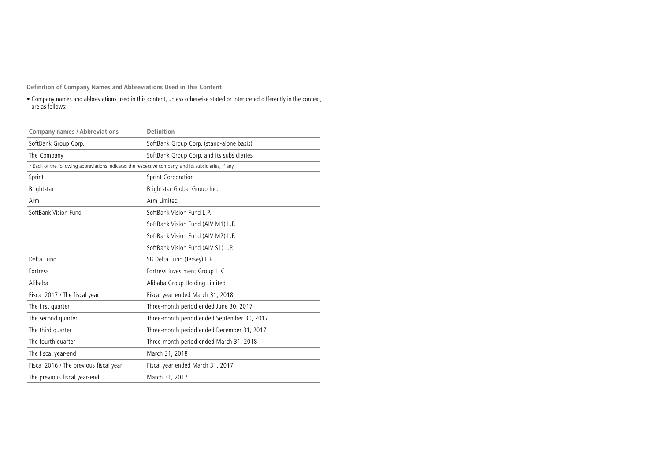**Definition of Company Names and Abbreviations Used in This Content**

• Company names and abbreviations used in this content, unless otherwise stated or interpreted differently in the context, are as follows:

| <b>Company names / Abbreviations</b>                                                                  | <b>Definition</b>                           |
|-------------------------------------------------------------------------------------------------------|---------------------------------------------|
| SoftBank Group Corp.                                                                                  | SoftBank Group Corp. (stand-alone basis)    |
| The Company                                                                                           | SoftBank Group Corp. and its subsidiaries   |
| * Each of the following abbreviations indicates the respective company, and its subsidiaries, if any. |                                             |
| Sprint                                                                                                | Sprint Corporation                          |
| Brightstar                                                                                            | Brightstar Global Group Inc.                |
| Arm                                                                                                   | Arm Limited                                 |
| SoftBank Vision Fund                                                                                  | SoftBank Vision Fund L.P.                   |
|                                                                                                       | SoftBank Vision Fund (AIV M1) L.P.          |
|                                                                                                       | SoftBank Vision Fund (AIV M2) L.P.          |
|                                                                                                       | SoftBank Vision Fund (AIV S1) L.P.          |
| Delta Fund                                                                                            | SB Delta Fund (Jersey) L.P.                 |
| Fortress                                                                                              | Fortress Investment Group LLC               |
| Alibaba                                                                                               | Alibaba Group Holding Limited               |
| Fiscal 2017 / The fiscal year                                                                         | Fiscal year ended March 31, 2018            |
| The first quarter                                                                                     | Three-month period ended June 30, 2017      |
| The second quarter                                                                                    | Three-month period ended September 30, 2017 |
| The third quarter                                                                                     | Three-month period ended December 31, 2017  |
| The fourth quarter                                                                                    | Three-month period ended March 31, 2018     |
| The fiscal year-end                                                                                   | March 31, 2018                              |
| Fiscal 2016 / The previous fiscal year                                                                | Fiscal year ended March 31, 2017            |
| The previous fiscal year-end                                                                          | March 31, 2017                              |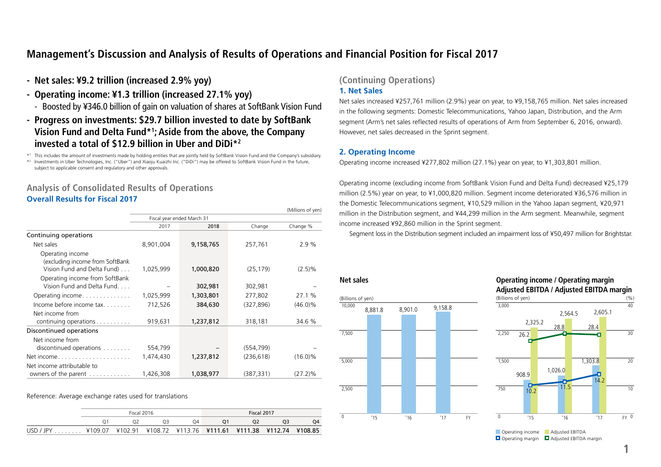# **Management's Discussion and Analysis of Results of Operations and Financial Position for Fiscal 2017**

- **- Net sales: ¥9.2 trillion (increased 2.9% yoy)**
- **- Operating income: ¥1.3 trillion (increased 27.1% yoy)**
	- Boosted by ¥346.0 billion of gain on valuation of shares at SoftBank Vision Fund
- **- Progress on investments: \$29.7 billion invested to date by SoftBank Vision Fund and Delta Fund\*1 ; Aside from the above, the Company invested a total of \$12.9 billion in Uber and DiDi\*2**

\*1 This includes the amount of investments made by holding entities that are jointly held by SoftBank Vision Fund and the Company's subsidiary.

\*2 Investments in Uber Technologies, Inc. ("Uber") and Xiaoju Kuaizhi Inc. ("DiDi") may be offered to SoftBank Vision Fund in the future, subject to applicable consent and regulatory and other approvals.

# **Analysis of Consolidated Results of Operations Overall Results for Fiscal 2017**

|                                                              |           |                            |            | (Millions of yen) |
|--------------------------------------------------------------|-----------|----------------------------|------------|-------------------|
|                                                              |           | Fiscal year ended March 31 |            |                   |
|                                                              | 2017      | 2018                       | Change     | Change %          |
| Continuing operations                                        |           |                            |            |                   |
| Net sales                                                    | 8,901,004 | 9,158,765                  | 257,761    | 2.9%              |
| Operating income<br>(excluding income from SoftBank          |           |                            |            |                   |
| Vision Fund and Delta Fund)                                  | 1,025,999 | 1,000,820                  | (25, 179)  | (2.5)%            |
| Operating income from SoftBank<br>Vision Fund and Delta Fund |           | 302,981                    | 302,981    |                   |
| Operating income                                             | 1,025,999 | 1,303,801                  | 277,802    | 27.1 %            |
| Income before income $tax.$                                  | 712,526   | 384,630                    | (327, 896) | $(46.0)\%$        |
| Net income from                                              |           |                            |            |                   |
| continuing operations $\ldots \ldots \ldots$                 | 919,631   | 1,237,812                  | 318,181    | 34.6 %            |
| Discontinued operations                                      |           |                            |            |                   |
| Net income from                                              |           |                            |            |                   |
| discontinued operations                                      | 554,799   |                            | (554, 799) |                   |
| Net income                                                   | 1,474,430 | 1,237,812                  | (236, 618) | $(16.0)\%$        |
| Net income attributable to<br>owners of the parent           | 1,426,308 | 1,038,977                  | (387, 331) | $(27.2)\%$        |

#### Reference: Average exchange rates used for translations

|           |         | Fiscal 2016 |    |  | Fiscal 2017                                             |  |  |  |  |
|-----------|---------|-------------|----|--|---------------------------------------------------------|--|--|--|--|
|           |         |             | 74 |  |                                                         |  |  |  |  |
| USD / JPY | ¥109.07 |             |    |  | ¥102.91 ¥108.72 ¥113.76 ¥111.61 ¥111.38 ¥112.74 ¥108.85 |  |  |  |  |

# **(Continuing Operations) 1. Net Sales**

Net sales increased ¥257,761 million (2.9%) year on year, to ¥9,158,765 million. Net sales increased in the following segments: Domestic Telecommunications, Yahoo Japan, Distribution, and the Arm segment (Arm's net sales reflected results of operations of Arm from September 6, 2016, onward). However, net sales decreased in the Sprint segment.

## **2. Operating Income**

Operating income increased ¥277,802 million (27.1%) year on year, to ¥1,303,801 million.

Operating income (excluding income from SoftBank Vision Fund and Delta Fund) decreased ¥25,179 million (2.5%) year on year, to ¥1,000,820 million. Segment income deteriorated ¥36,576 million in the Domestic Telecommunications segment, ¥10,529 million in the Yahoo Japan segment, ¥20,971 million in the Distribution segment, and ¥44,299 million in the Arm segment. Meanwhile, segment income increased ¥92,860 million in the Sprint segment.

Segment loss in the Distribution segment included an impairment loss of ¥50,497 million for Brightstar.





Operating margin **D** Adjusted EBITDA margin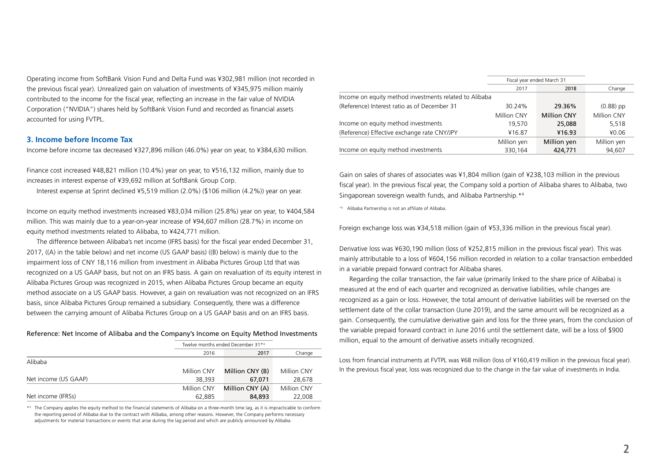Operating income from SoftBank Vision Fund and Delta Fund was ¥302,981 million (not recorded in the previous fiscal year). Unrealized gain on valuation of investments of ¥345,975 million mainly contributed to the income for the fiscal year, reflecting an increase in the fair value of NVIDIA Corporation ("NVIDIA") shares held by SoftBank Vision Fund and recorded as financial assets accounted for using FVTPL.

### **3. Income before Income Tax**

Income before income tax decreased ¥327,896 million (46.0%) year on year, to ¥384,630 million.

Finance cost increased ¥48,821 million (10.4%) year on year, to ¥516,132 million, mainly due to increases in interest expense of ¥39,692 million at SoftBank Group Corp.

Interest expense at Sprint declined ¥5,519 million (2.0%) (\$106 million (4.2%)) year on year.

Income on equity method investments increased ¥83,034 million (25.8%) year on year, to ¥404,584 million. This was mainly due to a year-on-year increase of ¥94,607 million (28.7%) in income on equity method investments related to Alibaba, to ¥424,771 million.

The difference between Alibaba's net income (IFRS basis) for the fiscal year ended December 31, 2017, ((A) in the table below) and net income (US GAAP basis) ((B) below) is mainly due to the impairment loss of CNY 18,116 million from investment in Alibaba Pictures Group Ltd that was recognized on a US GAAP basis, but not on an IFRS basis. A gain on revaluation of its equity interest in Alibaba Pictures Group was recognized in 2015, when Alibaba Pictures Group became an equity method associate on a US GAAP basis. However, a gain on revaluation was not recognized on an IFRS basis, since Alibaba Pictures Group remained a subsidiary. Consequently, there was a difference between the carrying amount of Alibaba Pictures Group on a US GAAP basis and on an IFRS basis.

#### Reference: Net Income of Alibaba and the Company's Income on Equity Method Investments

|                      |             | Twelve months ended December 31*3 |             |
|----------------------|-------------|-----------------------------------|-------------|
|                      | 2016        | 2017                              | Change      |
| Alibaba              |             |                                   |             |
|                      | Million CNY | Million CNY (B)                   | Million CNY |
| Net income (US GAAP) | 38,393      | 67.071                            | 28,678      |
|                      | Million CNY | Million CNY (A)                   | Million CNY |
| Net income (IFRSs)   | 62,885      | 84,893                            | 22,008      |

\*3 The Company applies the equity method to the financial statements of Alibaba on a three-month time lag, as it is impracticable to conform the reporting period of Alibaba due to the contract with Alibaba, among other reasons. However, the Company performs necessary adjustments for material transactions or events that arise during the lag period and which are publicly announced by Alibaba.

|                                                        |             | Fiscal year ended March 31 |             |
|--------------------------------------------------------|-------------|----------------------------|-------------|
|                                                        | 2017        | 2018                       | Change      |
| Income on equity method investments related to Alibaba |             |                            |             |
| (Reference) Interest ratio as of December 31           | 30.24%      | 29.36%                     | $(0.88)$ pp |
|                                                        | Million CNY | <b>Million CNY</b>         | Million CNY |
| Income on equity method investments                    | 19,570      | 25,088                     | 5,518       |
| (Reference) Effective exchange rate CNY/JPY            | ¥16.87      | ¥16.93                     | ¥0.06       |
|                                                        | Million yen | Million yen                | Million yen |
| Income on equity method investments                    | 330,164     | 424,771                    | 94,607      |

Gain on sales of shares of associates was ¥1,804 million (gain of ¥238,103 million in the previous fiscal year). In the previous fiscal year, the Company sold a portion of Alibaba shares to Alibaba, two Singaporean sovereign wealth funds, and Alibaba Partnership.\*4

\*4 Alibaba Partnership is not an affiliate of Alibaba.

Foreign exchange loss was ¥34,518 million (gain of ¥53,336 million in the previous fiscal year).

Derivative loss was ¥630,190 million (loss of ¥252,815 million in the previous fiscal year). This was mainly attributable to a loss of ¥604,156 million recorded in relation to a collar transaction embedded in a variable prepaid forward contract for Alibaba shares.

Regarding the collar transaction, the fair value (primarily linked to the share price of Alibaba) is measured at the end of each quarter and recognized as derivative liabilities, while changes are recognized as a gain or loss. However, the total amount of derivative liabilities will be reversed on the settlement date of the collar transaction (June 2019), and the same amount will be recognized as a gain. Consequently, the cumulative derivative gain and loss for the three years, from the conclusion of the variable prepaid forward contract in June 2016 until the settlement date, will be a loss of \$900 million, equal to the amount of derivative assets initially recognized.

Loss from financial instruments at FVTPL was ¥68 million (loss of ¥160,419 million in the previous fiscal year). In the previous fiscal year, loss was recognized due to the change in the fair value of investments in India.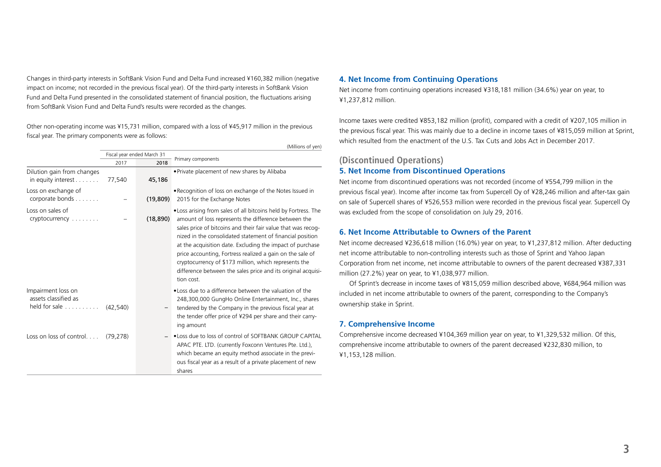Changes in third-party interests in SoftBank Vision Fund and Delta Fund increased ¥160,382 million (negative impact on income; not recorded in the previous fiscal year). Of the third-party interests in SoftBank Vision Fund and Delta Fund presented in the consolidated statement of financial position, the fluctuations arising from SoftBank Vision Fund and Delta Fund's results were recorded as the changes.

Other non-operating income was ¥15,731 million, compared with a loss of ¥45,917 million in the previous fiscal year. The primary components were as follows:

|                                                             |           |                            | (Millions of yen)                                                                                                                                                                                                                                                                                                                                                                                                                                                                                                     |
|-------------------------------------------------------------|-----------|----------------------------|-----------------------------------------------------------------------------------------------------------------------------------------------------------------------------------------------------------------------------------------------------------------------------------------------------------------------------------------------------------------------------------------------------------------------------------------------------------------------------------------------------------------------|
|                                                             |           | Fiscal year ended March 31 | Primary components                                                                                                                                                                                                                                                                                                                                                                                                                                                                                                    |
|                                                             | 2017      | 2018                       |                                                                                                                                                                                                                                                                                                                                                                                                                                                                                                                       |
| Dilution gain from changes<br>in equity interest $\dots$    | 77,540    | 45,186                     | . Private placement of new shares by Alibaba                                                                                                                                                                                                                                                                                                                                                                                                                                                                          |
| Loss on exchange of<br>corporate bonds                      |           | (19, 809)                  | . Recognition of loss on exchange of the Notes Issued in<br>2015 for the Exchange Notes                                                                                                                                                                                                                                                                                                                                                                                                                               |
| Loss on sales of<br>cryptocurrency                          |           | (18, 890)                  | • Loss arising from sales of all bitcoins held by Fortress. The<br>amount of loss represents the difference between the<br>sales price of bitcoins and their fair value that was recog-<br>nized in the consolidated statement of financial position<br>at the acquisition date. Excluding the impact of purchase<br>price accounting, Fortress realized a gain on the sale of<br>cryptocurrency of \$173 million, which represents the<br>difference between the sales price and its original acquisi-<br>tion cost. |
| Impairment loss on<br>assets classified as<br>held for sale | (42.540)  |                            | . Loss due to a difference between the valuation of the<br>248,300,000 GungHo Online Entertainment, Inc., shares<br>tendered by the Company in the previous fiscal year at<br>the tender offer price of ¥294 per share and their carry-<br>ing amount                                                                                                                                                                                                                                                                 |
| Loss on loss of control                                     | (79, 278) |                            | . Loss due to loss of control of SOFTBANK GROUP CAPITAL<br>APAC PTE. LTD. (currently Foxconn Ventures Pte. Ltd.),<br>which became an equity method associate in the previ-<br>ous fiscal year as a result of a private placement of new<br>shares                                                                                                                                                                                                                                                                     |

#### **4. Net Income from Continuing Operations**

Net income from continuing operations increased ¥318,181 million (34.6%) year on year, to ¥1,237,812 million.

Income taxes were credited ¥853,182 million (profit), compared with a credit of ¥207,105 million in the previous fiscal year. This was mainly due to a decline in income taxes of ¥815,059 million at Sprint, which resulted from the enactment of the U.S. Tax Cuts and Jobs Act in December 2017.

## **(Discontinued Operations)**

## **5. Net Income from Discontinued Operations**

Net income from discontinued operations was not recorded (income of ¥554,799 million in the previous fiscal year). Income after income tax from Supercell Oy of ¥28,246 million and after-tax gain on sale of Supercell shares of ¥526,553 million were recorded in the previous fiscal year. Supercell Oy was excluded from the scope of consolidation on July 29, 2016.

### **6. Net Income Attributable to Owners of the Parent**

Net income decreased ¥236,618 million (16.0%) year on year, to ¥1,237,812 million. After deducting net income attributable to non-controlling interests such as those of Sprint and Yahoo Japan Corporation from net income, net income attributable to owners of the parent decreased ¥387,331 million (27.2%) year on year, to ¥1,038,977 million.

Of Sprint's decrease in income taxes of ¥815,059 million described above, ¥684,964 million was included in net income attributable to owners of the parent, corresponding to the Company's ownership stake in Sprint.

## **7. Comprehensive Income**

Comprehensive income decreased ¥104,369 million year on year, to ¥1,329,532 million. Of this, comprehensive income attributable to owners of the parent decreased ¥232,830 million, to ¥1,153,128 million.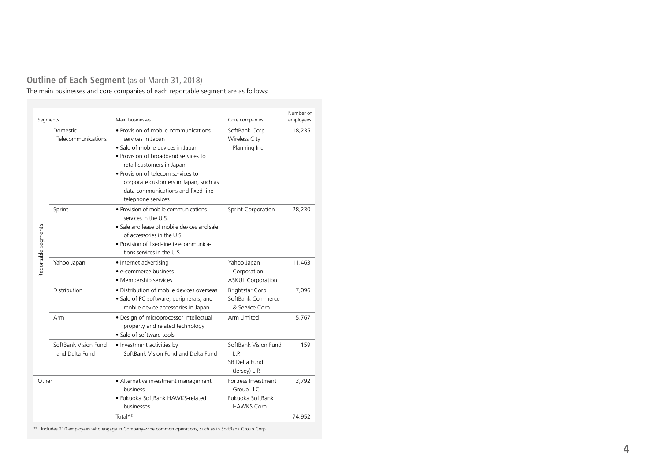# **Outline of Each Segment** (as of March 31, 2018)

The main businesses and core companies of each reportable segment are as follows:

| Segments            |                                        | Main businesses                                                                                                                                                                                                                                                                                                | Core companies                                                      | Number of<br>employees |
|---------------------|----------------------------------------|----------------------------------------------------------------------------------------------------------------------------------------------------------------------------------------------------------------------------------------------------------------------------------------------------------------|---------------------------------------------------------------------|------------------------|
|                     | Domestic<br>Telecommunications         | • Provision of mobile communications<br>services in Japan<br>• Sale of mobile devices in Japan<br>• Provision of broadband services to<br>retail customers in Japan<br>• Provision of telecom services to<br>corporate customers in Japan, such as<br>data communications and fixed-line<br>telephone services | SoftBank Corp.<br><b>Wireless City</b><br>Planning Inc.             | 18,235                 |
| Reportable segments | Sprint                                 | • Provision of mobile communications<br>services in the U.S.<br>• Sale and lease of mobile devices and sale<br>of accessories in the U.S.<br>• Provision of fixed-line telecommunica-<br>tions services in the U.S.                                                                                            | Sprint Corporation                                                  | 28,230                 |
|                     | Yahoo Japan                            | • Internet advertising<br>• e-commerce business<br>• Membership services                                                                                                                                                                                                                                       | Yahoo Japan<br>Corporation<br><b>ASKUL Corporation</b>              | 11,463                 |
|                     | Distribution                           | • Distribution of mobile devices overseas<br>• Sale of PC software, peripherals, and<br>mobile device accessories in Japan                                                                                                                                                                                     | Brightstar Corp.<br>SoftBank Commerce<br>& Service Corp.            | 7,096                  |
|                     | Arm                                    | · Design of microprocessor intellectual<br>property and related technology<br>• Sale of software tools                                                                                                                                                                                                         | Arm Limited                                                         | 5,767                  |
|                     | SoftBank Vision Fund<br>and Delta Fund | • Investment activities by<br>SoftBank Vision Fund and Delta Fund                                                                                                                                                                                                                                              | SoftBank Vision Fund<br>L.P.<br>SB Delta Fund<br>(Jersey) L.P.      | 159                    |
| Other               |                                        | • Alternative investment management<br>business<br>· Fukuoka SoftBank HAWKS-related<br>businesses                                                                                                                                                                                                              | Fortress Investment<br>Group LLC<br>Fukuoka SoftBank<br>HAWKS Corp. | 3,792                  |
|                     |                                        | Total $*5$                                                                                                                                                                                                                                                                                                     |                                                                     | 74,952                 |

\* <sup>5</sup> Includes 210 employees who engage in Company-wide common operations, such as in SoftBank Group Corp.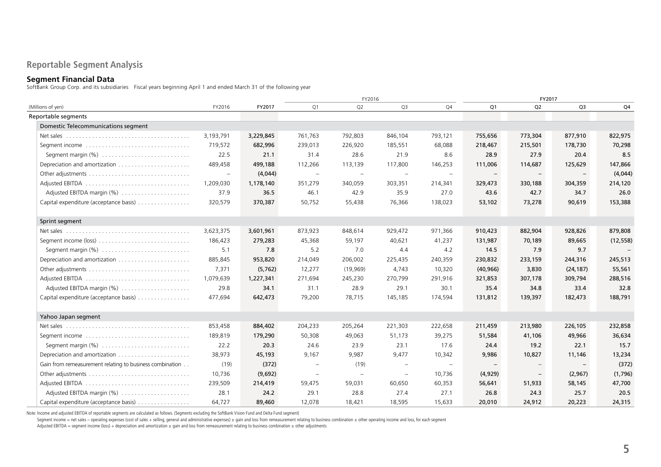# **Reportable Segment Analysis**

### **Segment Financial Data**

SoftBank Group Corp. and its subsidiaries Fiscal years beginning April 1 and ended March 31 of the following year

|                                                                                   |                          |           | FY2016                   |                   |                          |                          | FY2017                   |                          |                |           |
|-----------------------------------------------------------------------------------|--------------------------|-----------|--------------------------|-------------------|--------------------------|--------------------------|--------------------------|--------------------------|----------------|-----------|
| (Millions of yen)                                                                 | FY2016                   | FY2017    | Q1                       | Q <sub>2</sub>    | Q <sub>3</sub>           | Q4                       | Q1                       | Q <sub>2</sub>           | Q <sub>3</sub> | Q4        |
| Reportable segments                                                               |                          |           |                          |                   |                          |                          |                          |                          |                |           |
| Domestic Telecommunications segment                                               |                          |           |                          |                   |                          |                          |                          |                          |                |           |
| Net sales $\ldots \ldots \ldots \ldots \ldots \ldots \ldots \ldots \ldots \ldots$ | 3,193,791                | 3,229,845 | 761,763                  | 792,803           | 846,104                  | 793,121                  | 755,656                  | 773,304                  | 877,910        | 822,975   |
|                                                                                   | 719,572                  | 682,996   | 239,013                  | 226,920           | 185,551                  | 68,088                   | 218,467                  | 215,501                  | 178,730        | 70,298    |
|                                                                                   | 22.5                     | 21.1      | 31.4                     | 28.6              | 21.9                     | 8.6                      | 28.9                     | 27.9                     | 20.4           | 8.5       |
| Depreciation and amortization                                                     | 489,458                  | 499,188   | 112,266                  | 113,139           | 117,800                  | 146,253                  | 111,006                  | 114,687                  | 125,629        | 147,866   |
|                                                                                   | $\overline{\phantom{a}}$ | (4,044)   | $\overline{\phantom{m}}$ | $\qquad \qquad -$ | $\qquad \qquad -$        | $\overline{\phantom{a}}$ | $\overline{\phantom{m}}$ | $\overline{\phantom{m}}$ |                | (4,044)   |
|                                                                                   | 1,209,030                | 1,178,140 | 351,279                  | 340,059           | 303,351                  | 214,341                  | 329,473                  | 330,188                  | 304,359        | 214,120   |
| Adjusted EBITDA margin (%)                                                        | 37.9                     | 36.5      | 46.1                     | 42.9              | 35.9                     | 27.0                     | 43.6                     | 42.7                     | 34.7           | 26.0      |
| Capital expenditure (acceptance basis)                                            | 320,579                  | 370,387   | 50,752                   | 55,438            | 76,366                   | 138,023                  | 53,102                   | 73,278                   | 90,619         | 153,388   |
| Sprint segment                                                                    |                          |           |                          |                   |                          |                          |                          |                          |                |           |
|                                                                                   | 3,623,375                | 3,601,961 | 873,923                  | 848,614           | 929,472                  | 971,366                  | 910,423                  | 882,904                  | 928,826        | 879,808   |
| Segment income (loss) $\dots \dots \dots \dots \dots \dots \dots \dots \dots$     | 186,423                  | 279,283   | 45,368                   | 59,197            | 40,621                   | 41,237                   | 131,987                  | 70,189                   | 89,665         | (12, 558) |
|                                                                                   | 5.1                      | 7.8       | 5.2                      | 7.0               | 4.4                      | 4.2                      | 14.5                     | 7.9                      | 9.7            |           |
|                                                                                   | 885,845                  | 953,820   | 214,049                  | 206,002           | 225,435                  | 240,359                  | 230,832                  | 233,159                  | 244,316        | 245,513   |
|                                                                                   | 7,371                    | (5, 762)  | 12,277                   | (19,969)          | 4,743                    | 10,320                   | (40, 966)                | 3,830                    | (24, 187)      | 55,561    |
|                                                                                   | 1,079,639                | 1,227,341 | 271,694                  | 245,230           | 270,799                  | 291,916                  | 321,853                  | 307,178                  | 309,794        | 288,516   |
| Adjusted EBITDA margin (%)                                                        | 29.8                     | 34.1      | 31.1                     | 28.9              | 29.1                     | 30.1                     | 35.4                     | 34.8                     | 33.4           | 32.8      |
| Capital expenditure (acceptance basis)                                            | 477,694                  | 642,473   | 79,200                   | 78,715            | 145,185                  | 174,594                  | 131,812                  | 139,397                  | 182,473        | 188,791   |
| Yahoo Japan segment                                                               |                          |           |                          |                   |                          |                          |                          |                          |                |           |
| Net sales $\ldots \ldots \ldots \ldots \ldots \ldots \ldots \ldots \ldots \ldots$ | 853,458                  | 884,402   | 204,233                  | 205,264           | 221,303                  | 222,658                  | 211,459                  | 213,980                  | 226,105        | 232,858   |
|                                                                                   | 189,819                  | 179,290   | 50,308                   | 49,063            | 51,173                   | 39,275                   | 51,584                   | 41,106                   | 49,966         | 36,634    |
|                                                                                   | 22.2                     | 20.3      | 24.6                     | 23.9              | 23.1                     | 17.6                     | 24.4                     | 19.2                     | 22.1           | 15.7      |
|                                                                                   | 38,973                   | 45,193    | 9,167                    | 9,987             | 9,477                    | 10,342                   | 9,986                    | 10,827                   | 11,146         | 13,234    |
| Gain from remeasurement relating to business combination                          | (19)                     | (372)     | $\equiv$                 | (19)              | $\overline{\phantom{0}}$ | $\overline{\phantom{m}}$ |                          |                          |                | (372)     |
|                                                                                   | 10,736                   | (9,692)   |                          |                   | $\equiv$                 | 10,736                   | (4,929)                  | $\overline{\phantom{m}}$ | (2,967)        | (1,796)   |
|                                                                                   | 239,509                  | 214,419   | 59,475                   | 59,031            | 60,650                   | 60,353                   | 56,641                   | 51,933                   | 58,145         | 47,700    |
| Adjusted EBITDA margin (%)                                                        | 28.1                     | 24.2      | 29.1                     | 28.8              | 27.4                     | 27.1                     | 26.8                     | 24.3                     | 25.7           | 20.5      |
| Capital expenditure (acceptance basis)                                            | 64,727                   | 89,460    | 12,078                   | 18.421            | 18.595                   | 15.633                   | 20,010                   | 24,912                   | 20,223         | 24,315    |

Note: Income and adjusted EBITDA of reportable segments are calculated as follows. (Segments excluding the SoftBank Vision Fund and Delta Fund segment)

Segment income = net sales - operating expenses (cost of sales + selling, general and administrative expenses) ± gain and loss from remeasurement relating to business combination ± other operating income and loss, for each

 $A$ djusted EBITDA = segment income (loss) + depreciation and amortization  $\pm$  gain and loss from remeasurement relating to business combination  $\pm$  other adjustments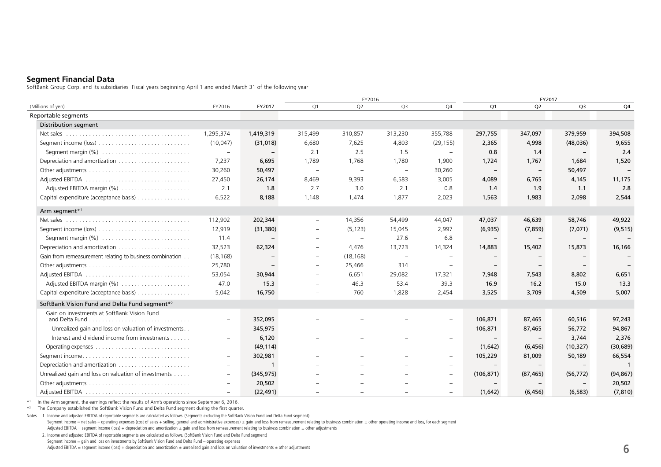# **Segment Financial Data**

SoftBank Group Corp. and its subsidiaries Fiscal years beginning April 1 and ended March 31 of the following year

|                                                           |                          | FY2017                   | FY2016                   |                          |                                 |                          |                          | FY2017                   |                          |                          |  |
|-----------------------------------------------------------|--------------------------|--------------------------|--------------------------|--------------------------|---------------------------------|--------------------------|--------------------------|--------------------------|--------------------------|--------------------------|--|
| (Millions of yen)                                         | FY2016                   |                          | Q <sub>1</sub>           | Q2                       | Q3                              | Q4                       | Q1                       | Q <sub>2</sub>           | Q <sub>3</sub>           | Q4                       |  |
| Reportable segments                                       |                          |                          |                          |                          |                                 |                          |                          |                          |                          |                          |  |
| <b>Distribution segment</b>                               |                          |                          |                          |                          |                                 |                          |                          |                          |                          |                          |  |
|                                                           | 1,295,374                | 1,419,319                | 315,499                  | 310,857                  | 313,230                         | 355,788                  | 297,755                  | 347,097                  | 379,959                  | 394,508                  |  |
|                                                           | (10, 047)                | (31, 018)                | 6,680                    | 7,625                    | 4,803                           | (29, 155)                | 2,365                    | 4,998                    | (48, 036)                | 9,655                    |  |
| Segment margin $(%)$                                      | $\overline{\phantom{m}}$ | $\overline{\phantom{m}}$ | 2.1                      | 2.5                      | 1.5                             | $\overline{\phantom{a}}$ | 0.8                      | 1.4                      | $\overline{\phantom{a}}$ | 2.4                      |  |
|                                                           | 7,237                    | 6,695                    | 1,789                    | 1,768                    | 1,780                           | 1,900                    | 1,724                    | 1,767                    | 1,684                    | 1,520                    |  |
|                                                           | 30,260                   | 50,497                   | $\equiv$                 | $\overline{\phantom{a}}$ | $\hspace{0.1mm}-\hspace{0.1mm}$ | 30,260                   | $-$                      | $-$                      | 50,497                   | $\overline{\phantom{a}}$ |  |
|                                                           | 27,450                   | 26,174                   | 8,469                    | 9,393                    | 6,583                           | 3,005                    | 4,089                    | 6,765                    | 4,145                    | 11,175                   |  |
| Adjusted EBITDA margin (%)                                | 2.1                      | 1.8                      | 2.7                      | 3.0                      | 2.1                             | 0.8                      | 1.4                      | 1.9                      | 1.1                      | 2.8                      |  |
| Capital expenditure (acceptance basis)                    | 6,522                    | 8,188                    | 1,148                    | 1,474                    | 1,877                           | 2,023                    | 1,563                    | 1,983                    | 2,098                    | 2,544                    |  |
| Arm segment*1                                             |                          |                          |                          |                          |                                 |                          |                          |                          |                          |                          |  |
|                                                           | 112,902                  | 202,344                  | $\equiv$                 | 14,356                   | 54,499                          | 44,047                   | 47,037                   | 46,639                   | 58,746                   | 49,922                   |  |
|                                                           | 12,919                   | (31, 380)                | $\overline{\phantom{m}}$ | (5, 123)                 | 15,045                          | 2,997                    | (6,935)                  | (7, 859)                 | (7,071)                  | (9, 515)                 |  |
| Segment margin (%)                                        | 11.4                     |                          | $\equiv$                 | $\overline{\phantom{m}}$ | 27.6                            | 6.8                      | $-$                      | $-$                      | $-$                      | $\overline{\phantom{a}}$ |  |
|                                                           | 32.523                   | 62,324                   | $=$                      | 4,476                    | 13,723                          | 14,324                   | 14,883                   | 15,402                   | 15,873                   | 16,166                   |  |
| Gain from remeasurement relating to business combination  | (18, 168)                |                          | $\equiv$                 | (18, 168)                | $\overline{\phantom{m}}$        | $\overline{\phantom{m}}$ |                          | $\equiv$                 |                          |                          |  |
|                                                           | 25,780                   | $\qquad \qquad -$        | $\overline{\phantom{m}}$ | 25,466                   | 314                             | $\overline{\phantom{m}}$ | $\overline{\phantom{m}}$ | $-$                      | $\overline{\phantom{a}}$ |                          |  |
|                                                           | 53,054                   | 30,944                   |                          | 6,651                    | 29,082                          | 17,321                   | 7,948                    | 7,543                    | 8,802                    | 6,651                    |  |
| Adjusted EBITDA margin (%)                                | 47.0                     | 15.3                     |                          | 46.3                     | 53.4                            | 39.3                     | 16.9                     | 16.2                     | 15.0                     | 13.3                     |  |
| Capital expenditure (acceptance basis)                    | 5,042                    | 16,750                   |                          | 760                      | 1,828                           | 2,454                    | 3,525                    | 3,709                    | 4,509                    | 5,007                    |  |
| SoftBank Vision Fund and Delta Fund segment* <sup>2</sup> |                          |                          |                          |                          |                                 |                          |                          |                          |                          |                          |  |
| Gain on investments at SoftBank Vision Fund               | $\overline{\phantom{m}}$ | 352,095                  |                          |                          |                                 | $\overline{\phantom{a}}$ | 106,871                  | 87,465                   | 60,516                   | 97,243                   |  |
| Unrealized gain and loss on valuation of investments      | $\overline{\phantom{m}}$ | 345,975                  |                          |                          |                                 | $\overline{\phantom{a}}$ | 106,871                  | 87,465                   | 56,772                   | 94,867                   |  |
| Interest and dividend income from investments             | $\overline{\phantom{a}}$ | 6,120                    |                          | $\equiv$                 |                                 | $\overline{\phantom{a}}$ | $-$                      | $-$                      | 3,744                    | 2,376                    |  |
|                                                           | $\overline{\phantom{m}}$ | (49, 114)                |                          |                          |                                 | $\overline{\phantom{m}}$ | (1,642)                  | (6, 456)                 | (10, 327)                | (30, 689)                |  |
|                                                           |                          |                          |                          |                          |                                 | $\overline{\phantom{a}}$ |                          |                          |                          | 66,554                   |  |
| Segment income                                            | $\overline{\phantom{m}}$ | 302,981<br>$\mathbf{1}$  |                          |                          |                                 |                          | 105,229                  | 81,009                   | 50,189                   |                          |  |
| Unrealized gain and loss on valuation of investments      | $\overline{\phantom{a}}$ |                          |                          |                          |                                 | $\overline{\phantom{a}}$ |                          |                          |                          |                          |  |
|                                                           | $\overline{\phantom{m}}$ | (345, 975)               |                          |                          |                                 | $\overline{\phantom{a}}$ | (106, 871)               | (87, 465)                | (56, 772)                | (94, 867)                |  |
|                                                           | $\overline{\phantom{m}}$ | 20,502                   |                          |                          |                                 | $\overline{\phantom{m}}$ | $-$                      | $\overline{\phantom{a}}$ |                          | 20,502                   |  |
|                                                           |                          | (22, 491)                |                          |                          |                                 | $\overline{\phantom{a}}$ | (1,642)                  | (6, 456)                 | (6, 583)                 | (7, 810)                 |  |

\*1 In the Arm segment, the earnings reflect the results of Arm's operations since September 6, 2016.

\*2 The Company established the SoftBank Vision Fund and Delta Fund segment during the first quarter.

Notes 1. Income and adjusted EBITDA of reportable segments are calculated as follows. (Segments excluding the SoftBank Vision Fund and Delta Fund segment) Segment income = net sales - operating expenses (cost of sales + selling, general and administrative expenses)  $\pm$  gain and loss from remeasurement relating to business combination  $\pm$  other operating income and loss, f Adjusted EBITDA = segment income (loss) + depreciation and amortization ± gain and loss from remeasurement relating to business combination ± other adjustments

2. Income and adjusted EBITDA of reportable segments are calculated as follows. (SoftBank Vision Fund and Delta Fund segment) Segment income = gain and loss on investments by SoftBank Vision Fund and Delta Fund – operating expenses Adjusted EBITDA = segment income (loss) + depreciation and amortization ± unrealized gain and loss on valuation of investments ± other adjustments **6**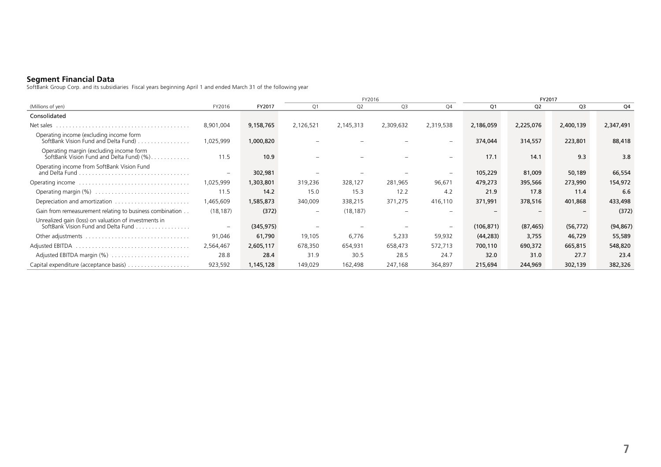### **Segment Financial Data**

SoftBank Group Corp. and its subsidiaries Fiscal years beginning April 1 and ended March 31 of the following year

|                                                                                              |                          |            |                          | FY2016         |                |                              |            | FY2017         |                |           |  |
|----------------------------------------------------------------------------------------------|--------------------------|------------|--------------------------|----------------|----------------|------------------------------|------------|----------------|----------------|-----------|--|
| (Millions of yen)                                                                            | FY2016                   | FY2017     | O <sub>1</sub>           | Q <sub>2</sub> | Q <sub>3</sub> | O <sub>4</sub>               | Q1         | Q <sub>2</sub> | Q <sub>3</sub> | Q4        |  |
| Consolidated                                                                                 |                          |            |                          |                |                |                              |            |                |                |           |  |
| Net sales                                                                                    | 8,901,004                | 9,158,765  | 2,126,521                | 2,145,313      | 2,309,632      | 2,319,538                    | 2,186,059  | 2,225,076      | 2,400,139      | 2,347,491 |  |
| Operating income (excluding income form<br>SoftBank Vision Fund and Delta Fund)              | 1,025,999                | 1,000,820  |                          |                |                | $\qquad \qquad \blacksquare$ | 374,044    | 314,557        | 223,801        | 88,418    |  |
| Operating margin (excluding income form<br>SoftBank Vision Fund and Delta Fund) (%)          | 11.5                     | 10.9       |                          |                |                | $\qquad \qquad \blacksquare$ | 17.1       | 14.1           | 9.3            | 3.8       |  |
| Operating income from SoftBank Vision Fund<br>and Delta Fund.                                | $\overline{\phantom{a}}$ | 302,981    |                          |                |                |                              | 105,229    | 81,009         | 50,189         | 66,554    |  |
|                                                                                              | 1,025,999                | 1,303,801  | 319,236                  | 328,127        | 281,965        | 96,671                       | 479,273    | 395,566        | 273,990        | 154,972   |  |
|                                                                                              | 11.5                     | 14.2       | 15.0                     | 15.3           | 12.2           | 4.2                          | 21.9       | 17.8           | 11.4           | 6.6       |  |
|                                                                                              | 1,465,609                | 1,585,873  | 340,009                  | 338,215        | 371,275        | 416,110                      | 371,991    | 378,516        | 401,868        | 433,498   |  |
| Gain from remeasurement relating to business combination                                     | (18, 187)                | (372)      | $\overline{\phantom{m}}$ | (18, 187)      |                | $\overline{\phantom{m}}$     |            |                |                | (372)     |  |
| Unrealized gain (loss) on valuation of investments in<br>SoftBank Vision Fund and Delta Fund | $\overline{\phantom{a}}$ | (345, 975) |                          |                |                | $\overline{\phantom{m}}$     | (106, 871) | (87, 465)      | (56, 772)      | (94, 867) |  |
|                                                                                              | 91,046                   | 61,790     | 19,105                   | 6,776          | 5,233          | 59,932                       | (44, 283)  | 3,755          | 46,729         | 55,589    |  |
|                                                                                              | 2,564,467                | 2,605,117  | 678,350                  | 654,931        | 658,473        | 572,713                      | 700,110    | 690,372        | 665,815        | 548,820   |  |
| Adjusted EBITDA margin (%)                                                                   | 28.8                     | 28.4       | 31.9                     | 30.5           | 28.5           | 24.7                         | 32.0       | 31.0           | 27.7           | 23.4      |  |
|                                                                                              | 923,592                  | 1,145,128  | 149,029                  | 162,498        | 247,168        | 364,897                      | 215,694    | 244,969        | 302,139        | 382,326   |  |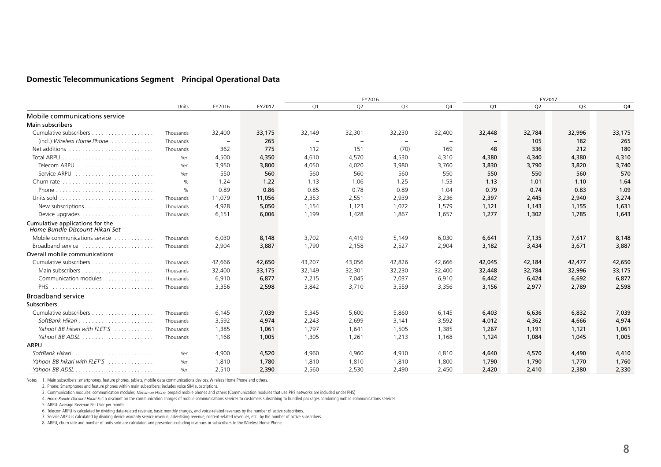# **Domestic Telecommunications Segment Principal Operational Data**

|                                                                      |               |                          |        |        | FY2016                   |                          |                          |        | FY2017         |                |        |
|----------------------------------------------------------------------|---------------|--------------------------|--------|--------|--------------------------|--------------------------|--------------------------|--------|----------------|----------------|--------|
|                                                                      | Units         | FY2016                   | FY2017 | Q1     | Q2                       | Q3                       | Q4                       | Q1     | Q <sub>2</sub> | Q <sub>3</sub> | Q4     |
| Mobile communications service                                        |               |                          |        |        |                          |                          |                          |        |                |                |        |
| Main subscribers                                                     |               |                          |        |        |                          |                          |                          |        |                |                |        |
|                                                                      | Thousands     | 32,400                   | 33,175 | 32,149 | 32,301                   | 32,230                   | 32,400                   | 32,448 | 32,784         | 32,996         | 33,175 |
| $(incl.)$ Wireless Home Phone $\ldots \ldots \ldots$                 | Thousands     | $\overline{\phantom{a}}$ | 265    |        | $\overline{\phantom{a}}$ | $\overline{\phantom{a}}$ | $\overline{\phantom{a}}$ |        | 105            | 182            | 265    |
| Net additions                                                        | Thousands     | 362                      | 775    | 112    | 151                      | (70)                     | 169                      | 48     | 336            | 212            | 180    |
|                                                                      | Yen           | 4,500                    | 4,350  | 4,610  | 4,570                    | 4,530                    | 4,310                    | 4,380  | 4,340          | 4,380          | 4,310  |
| Telecom ARPU                                                         | Yen           | 3,950                    | 3,800  | 4,050  | 4,020                    | 3,980                    | 3,760                    | 3,830  | 3,790          | 3,820          | 3,740  |
|                                                                      | Yen           | 550                      | 560    | 560    | 560                      | 560                      | 550                      | 550    | 550            | 560            | 570    |
| Churn rate $\ldots \ldots \ldots \ldots \ldots \ldots \ldots$        | $\frac{1}{2}$ | 1.24                     | 1.22   | 1.13   | 1.06                     | 1.25                     | 1.53                     | 1.13   | 1.01           | 1.10           | 1.64   |
|                                                                      | $\frac{0}{0}$ | 0.89                     | 0.86   | 0.85   | 0.78                     | 0.89                     | 1.04                     | 0.79   | 0.74           | 0.83           | 1.09   |
| Units sold $\ldots \ldots \ldots \ldots \ldots \ldots \ldots \ldots$ | Thousands     | 11,079                   | 11,056 | 2,353  | 2,551                    | 2,939                    | 3,236                    | 2,397  | 2,445          | 2,940          | 3,274  |
|                                                                      | Thousands     | 4,928                    | 5,050  | 1,154  | 1,123                    | 1,072                    | 1,579                    | 1,121  | 1,143          | 1,155          | 1,631  |
|                                                                      | Thousands     | 6,151                    | 6,006  | 1,199  | 1,428                    | 1,867                    | 1,657                    | 1,277  | 1,302          | 1,785          | 1,643  |
| Cumulative applications for the<br>Home Bundle Discount Hikari Set   |               |                          |        |        |                          |                          |                          |        |                |                |        |
| Mobile communications service                                        | Thousands     | 6,030                    | 8,148  | 3,702  | 4,419                    | 5,149                    | 6,030                    | 6,641  | 7,135          | 7,617          | 8,148  |
| Broadband service                                                    | Thousands     | 2,904                    | 3,887  | 1,790  | 2,158                    | 2,527                    | 2,904                    | 3,182  | 3,434          | 3,671          | 3,887  |
| Overall mobile communications                                        |               |                          |        |        |                          |                          |                          |        |                |                |        |
|                                                                      | Thousands     | 42,666                   | 42,650 | 43,207 | 43,056                   | 42,826                   | 42,666                   | 42,045 | 42,184         | 42,477         | 42,650 |
|                                                                      | Thousands     | 32,400                   | 33,175 | 32,149 | 32,301                   | 32,230                   | 32,400                   | 32,448 | 32,784         | 32,996         | 33,175 |
| Communication modules                                                | Thousands     | 6,910                    | 6,877  | 7,215  | 7,045                    | 7,037                    | 6,910                    | 6,442  | 6,424          | 6,692          | 6,877  |
| PHS                                                                  | Thousands     | 3,356                    | 2,598  | 3,842  | 3,710                    | 3,559                    | 3,356                    | 3,156  | 2,977          | 2,789          | 2,598  |
| <b>Broadband service</b>                                             |               |                          |        |        |                          |                          |                          |        |                |                |        |
| Subscribers                                                          |               |                          |        |        |                          |                          |                          |        |                |                |        |
|                                                                      | Thousands     | 6,145                    | 7,039  | 5,345  | 5,600                    | 5,860                    | 6,145                    | 6,403  | 6,636          | 6,832          | 7,039  |
|                                                                      | Thousands     | 3,592                    | 4,974  | 2,243  | 2,699                    | 3,141                    | 3,592                    | 4,012  | 4,362          | 4,666          | 4,974  |
| Yahoo! BB hikari with FLET'S                                         | Thousands     | 1,385                    | 1,061  | 1,797  | 1,641                    | 1,505                    | 1,385                    | 1,267  | 1,191          | 1,121          | 1,061  |
|                                                                      | Thousands     | 1,168                    | 1,005  | 1,305  | 1,261                    | 1,213                    | 1,168                    | 1,124  | 1,084          | 1,045          | 1,005  |
| ARPU                                                                 |               |                          |        |        |                          |                          |                          |        |                |                |        |
|                                                                      | Yen           | 4,900                    | 4,520  | 4,960  | 4,960                    | 4,910                    | 4,810                    | 4,640  | 4,570          | 4,490          | 4,410  |
| Yahoo! BB hikari with FLET'S                                         | Yen           | 1,810                    | 1,780  | 1,810  | 1,810                    | 1,810                    | 1,800                    | 1,790  | 1,790          | 1,770          | 1,760  |
|                                                                      | Yen           | 2,510                    | 2,390  | 2,560  | 2,530                    | 2,490                    | 2,450                    | 2,420  | 2,410          | 2,380          | 2,330  |

Notes 1. Main subscribers: smartphones, feature phones, tablets, mobile data communications devices, Wireless Home Phone and others.

3. Communication modules: communication modules, *Mimamori Phone*, prepaid mobile phones and others (Communication modules that use PHS networks are included under PHS)

4. *Home Bundle Discount Hikari Set*: a discount on the communication charges of mobile communications services to customers subscribing to bundled packages combining mobile communications services

5. ARPU: Average Revenue Per User per month

6. Telecom ARPU is calculated by dividing data-related revenue, basic monthly charges, and voice-related revenues by the number of active subscribers.

7. Service ARPU is calculated by dividing device warranty service revenue, advertising revenue, content-related revenues, etc., by the number of active subscribers.

8. ARPU, churn rate and number of units sold are calculated and presented excluding revenues or subscribers to the Wireless Home Phone.

<sup>2.</sup> Phone: Smartphones and feature phones within main subscribers; includes voice SIM subscriptions.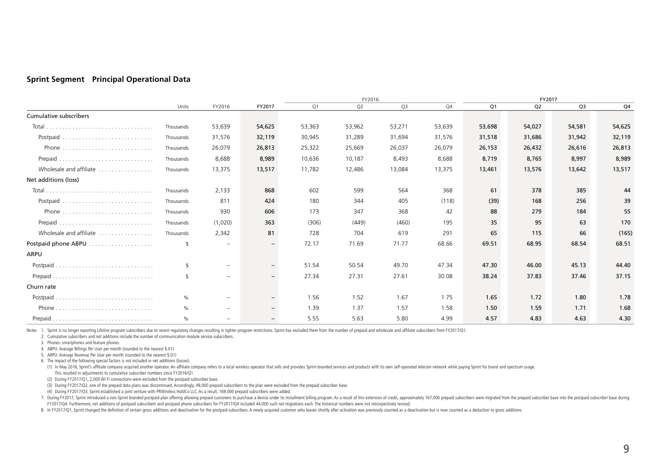## **Sprint Segment Principal Operational Data**

|                         |               |                          |                   |        | FY2016         |                |        |                | FY2017         |                |        |
|-------------------------|---------------|--------------------------|-------------------|--------|----------------|----------------|--------|----------------|----------------|----------------|--------|
|                         | Units         | FY2016                   | FY2017            | Q1     | Q <sub>2</sub> | Q <sub>3</sub> | Q4     | Q <sub>1</sub> | Q <sub>2</sub> | Q <sub>3</sub> | Q4     |
| Cumulative subscribers  |               |                          |                   |        |                |                |        |                |                |                |        |
| Total                   | Thousands     | 53,639                   | 54,625            | 53,363 | 53,962         | 53,271         | 53,639 | 53,698         | 54,027         | 54,581         | 54,625 |
|                         | Thousands     | 31,576                   | 32,119            | 30,945 | 31,289         | 31,694         | 31,576 | 31,518         | 31,686         | 31,942         | 32,119 |
|                         | Thousands     | 26,079                   | 26,813            | 25,322 | 25,669         | 26,037         | 26,079 | 26,153         | 26,432         | 26,616         | 26,813 |
|                         | Thousands     | 8,688                    | 8,989             | 10,636 | 10,187         | 8,493          | 8,688  | 8,719          | 8,765          | 8,997          | 8,989  |
| Wholesale and affiliate | Thousands     | 13,375                   | 13,517            | 11,782 | 12,486         | 13.084         | 13,375 | 13,461         | 13,576         | 13,642         | 13,517 |
| Net additions (loss)    |               |                          |                   |        |                |                |        |                |                |                |        |
|                         | Thousands     | 2,133                    | 868               | 602    | 599            | 564            | 368    | 61             | 378            | 385            | 44     |
|                         | Thousands     | 811                      | 424               | 180    | 344            | 405            | (118)  | (39)           | 168            | 256            | 39     |
|                         | Thousands     | 930                      | 606               | 173    | 347            | 368            | 42     | 88             | 279            | 184            | 55     |
|                         | Thousands     | (1,020)                  | 363               | (306)  | (449)          | (460)          | 195    | 35             | 95             | 63             | 170    |
| Wholesale and affiliate | Thousands     | 2,342                    | 81                | 728    | 704            | 619            | 291    | 65             | 115            | 66             | (165)  |
|                         | \$            | $\overline{\phantom{m}}$ | $\qquad \qquad -$ | 72.17  | 71.69          | 71.77          | 68.66  | 69.51          | 68.95          | 68.54          | 68.51  |
| ARPU                    |               |                          |                   |        |                |                |        |                |                |                |        |
|                         | $\mathcal{L}$ | $\overline{\phantom{m}}$ | $\qquad \qquad -$ | 51.54  | 50.54          | 49.70          | 47.34  | 47.30          | 46.00          | 45.13          | 44.40  |
| Prepaid                 | $\mathcal{L}$ | $\overline{\phantom{0}}$ | $-$               | 27.34  | 27.31          | 27.61          | 30.08  | 38.24          | 37.83          | 37.46          | 37.15  |
| Churn rate              |               |                          |                   |        |                |                |        |                |                |                |        |
|                         | $\%$          | $\overline{\phantom{0}}$ | $\qquad \qquad -$ | 1.56   | 1.52           | 1.67           | 1.75   | 1.65           | 1.72           | 1.80           | 1.78   |
|                         | %             | $\overline{\phantom{0}}$ | $-$               | 1.39   | 1.37           | 1.57           | 1.58   | 1.50           | 1.59           | 1.71           | 1.68   |
|                         | $\%$          | -                        | $-$               | 5.55   | 5.63           | 5.80           | 4.99   | 4.57           | 4.83           | 4.63           | 4.30   |

Notes 1. Sprint is no longer reporting Lifeline program subscribers due to recent regulatory changes resulting in tighter program restrictions. Sprint has excluded them from the number of prepaid and wholesale and affiliat

2. Cumulative subscribers and net additions include the number of communication module service subscribers.

3. Phones: smartphones and feature phones

4. ABPU: Average Billings Per User per month (rounded to the nearest \$.01)

5. ARPU: Average Revenue Per User per month (rounded to the nearest \$.01)

6. The impact of the following special factors is not included in net additions (losses).

(1) In May 2016, Sprint's affiliate company acquired another operator. An affiliate company refers to a local wireless operator that sells and provides Sprint-branded services and products with its own self-operated teleco This resulted in adjustments to cumulative subscriber numbers since FY2016/Q1.

(2) During FY2017/Q1, 2,000 Wi-Fi connections were excluded from the postpaid subscriber base.

(3) During FY2017/Q2, one of the prepaid data plans was discontinued. Accordingly, 49,000 prepaid subscribers to the plan were excluded from the prepaid subscriber base.

(4) During FY2017/Q3, Sprint established a joint venture with PRWireless HoldCo LLC. As a result, 169,000 prepaid subscribers were added.

7. During FY2017. Sprint introduced a non-Sprint branded postpaid dian offering allowing prepaid customers to purchase a device under its installment billing program. As a result of this extension of credit, approximately FY2017/Q4. Furthermore, net additions of postpaid subscribers and postpaid phone subscribers for FY2017/Q4 included 44,000 such net migrations each. The historical numbers were not retrospectively revised.

8. In FY2017/Q1, Sprint changed the definition of certain gross additions and deactivation for the postpaid subscribers. A newly acquired customer who leaves shortly after activation was previously counted as a deactivatio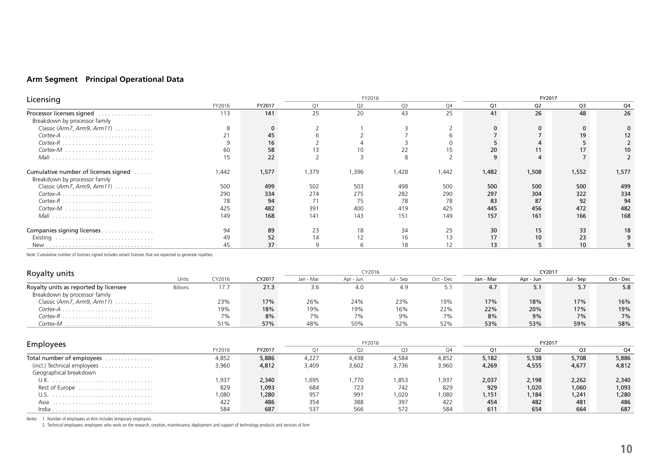# **Arm Segment Principal Operational Data**

| Licensing                                                             |        |        | FY2016 |                |                |       | FY2017 |                |                |       |
|-----------------------------------------------------------------------|--------|--------|--------|----------------|----------------|-------|--------|----------------|----------------|-------|
|                                                                       | FY2016 | FY2017 | Q1     | Q <sub>2</sub> | Q <sub>3</sub> | Q4    | Q1     | Q <sub>2</sub> | Q <sub>3</sub> | Q4    |
| Processor licenses signed<br>.<br>Breakdown by processor family       | 113    | 141    | 25     | 20             | 43             | 25    | 41     | 26             | 48             | 26    |
| Classic (Arm7, Arm9, Arm11)                                           | 8      | 0      |        |                |                |       |        |                | $\mathbf 0$    |       |
|                                                                       | 21     | 45     |        |                |                |       |        |                | 19             | 12    |
|                                                                       |        | 16     |        |                |                |       |        |                |                |       |
| Cortex-M                                                              | 60     | 58     |        | 10             | 22             | 15    | 20     |                | 17             | 10    |
| Mali                                                                  | 15     | 22     |        |                | 8              |       | 9      |                |                |       |
| Cumulative number of licenses signed<br>Breakdown by processor family | 1,442  | 1,577  | 1,379  | 1,396          | 1,428          | 1,442 | 1,482  | 1,508          | 1,552          | 1,577 |
| Classic (Arm7, Arm9, Arm11) $\ldots \ldots \ldots$                    | 500    | 499    | 502    | 503            | 498            | 500   | 500    | 500            | 500            | 499   |
|                                                                       | 290    | 334    | 274    | 275            | 282            | 290   | 297    | 304            | 322            | 334   |
|                                                                       | 78     | 94     | 71     | 75             | 78             | 78    | 83     | 87             | 92             | 94    |
| $\mathsf{Cortex}\text{-}M$                                            | 425    | 482    | 391    | 400            | 419            | 425   | 445    | 456            | 472            | 482   |
| Mali                                                                  | 149    | 168    | 141    | 143            | 151            | 149   | 157    | 161            | 166            | 168   |
| Companies signing licenses                                            | 94     | 89     | 23     | 18             | 34             | 25    | 30     | 15             | 33             | 18    |
| Existing                                                              | 49     | 52     | 14     |                |                | 13    | 17     |                | 23             |       |
|                                                                       | 45     | 37     |        |                |                | 12    | 13     |                | 10             |       |

Note: Cumulative number of licenses signed includes extant licenses that are expected to generate royalties.

| Royalty units                                      |                 |        |        |           | CY2016    |           |           |           | CY2017    |           |           |
|----------------------------------------------------|-----------------|--------|--------|-----------|-----------|-----------|-----------|-----------|-----------|-----------|-----------|
|                                                    | Units           | CY2016 | CY2017 | Jan - Mar | Apr - Jun | Jul - Sep | Oct - Dec | Jan - Mar | Apr - Jun | Jul - Sep | Oct - Dec |
| Royalty units as reported by licensee              | <b>Billions</b> | 17.7   | 21.3   | 3.6       | 4.0       | 4.9       |           | 4.7       | 5.1       | 5.7       | 5.8       |
| Breakdown by processor family                      |                 |        |        |           |           |           |           |           |           |           |           |
| Classic (Arm7, Arm9, Arm11) $\ldots \ldots \ldots$ |                 | 23%    | 17%    | 26%       | 24%       | 23%       | 19%       | 17%       | 18%       | 17%       | 16%       |
|                                                    |                 | 19%    | 18%    | 19%       | 19%       | 16%       | 22%       | 22%       | 20%       | 17%       | 19%       |
|                                                    |                 | 7%     | 8%     | 7%        | 7%        | 9%        | 7%        | 8%        | 9%        | 7%        | 7%        |
| Cortex-M                                           |                 | 51%    | 57%    | 48%       | 50%       | 52%       | 52%       | 53%       | 53%       | 59%       | 58%       |

| Employees                      |        |        |       | FY2016 |       |       |             | FY2017 |                |       |
|--------------------------------|--------|--------|-------|--------|-------|-------|-------------|--------|----------------|-------|
|                                | FY2016 | FY2017 |       |        |       |       | $\bigcap$ 1 | O2     | O <sub>3</sub> | Q4    |
| Total number of employees<br>. | 4,852  | 5,886  | 4,227 | 4,438  | 4,584 | 4,852 | 5,182       | 5,538  | 5,708          | 5,886 |
| (incl.) Technical employees    | 3,960  | 4,812  | 3,409 | 3,602  | 3,736 | 3,960 | 4,269       | 4,555  | 4,677          | 4,812 |
| Geographical breakdown         |        |        |       |        |       |       |             |        |                |       |
| U.K.                           | ,937   | 2,340  | 695,، | 1.770  | 1,853 | 1,937 | 2,037       | 2,198  | 2,262          | 2,340 |
| Rest of Europe                 | 829    | 1,093  | 684   | 723    | 742   | 829   | 929         | 1,020  | 1,060          | 1,093 |
|                                | ,080   | 1,280  | 957   | 991    | 1,020 | 1,080 | 1,151       | 1,184  | 1,241          | 1,280 |
| Asia                           | 422    | 486    | 354   | 388    | 397   | 422   | 454         | 482    | 481            | 486   |
| India                          | 584    | 687    | 537   | 566    | 572   | 584   | 611         | 654    | 664            | 687   |

Notes 1. Number of employees at Arm includes temporary employees.<br>2. Technical employees: employees who work on the research, creation, maintenance, deployment and support of technology products and services of Arm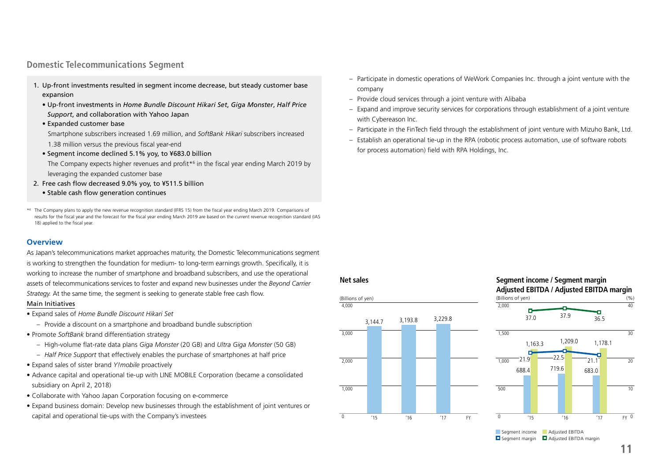# **Domestic Telecommunications Segment**

- 1. Up-front investments resulted in segment income decrease, but steady customer base expansion
	- Up-front investments in *Home Bundle Discount Hikari Set*, *Giga Monster*, *Half Price Support*, and collaboration with Yahoo Japan
	- Expanded customer base
	- Smartphone subscribers increased 1.69 million, and *SoftBank Hikari* subscribers increased 1.38 million versus the previous fiscal year-end
	- Segment income declined 5.1% yoy, to ¥683.0 billion
	- The Company expects higher revenues and profit\*<sup>6</sup> in the fiscal year ending March 2019 by leveraging the expanded customer base
- 2. Free cash flow decreased 9.0% yoy, to ¥511.5 billion
	- Stable cash flow generation continues

\*6 The Company plans to apply the new revenue recognition standard (IFRS 15) from the fiscal year ending March 2019. Comparisons of results for the fiscal year and the forecast for the fiscal year ending March 2019 are based on the current revenue recognition standard (IAS 18) applied to the fiscal year.

## **Overview**

As Japan's telecommunications market approaches maturity, the Domestic Telecommunications segment is working to strengthen the foundation for medium- to long-term earnings growth. Specifically, it is working to increase the number of smartphone and broadband subscribers, and use the operational assets of telecommunications services to foster and expand new businesses under the *Beyond Carrier Strategy.* At the same time, the segment is seeking to generate stable free cash flow.

#### Main Initiatives

- Expand sales of *Home Bundle Discount Hikari Set*
	- Provide a discount on a smartphone and broadband bundle subscription
- Promote *SoftBank* brand differentiation strategy
	- High-volume flat-rate data plans *Giga Monster* (20 GB) and *Ultra Giga Monster* (50 GB)
	- *Half Price Support* that effectively enables the purchase of smartphones at half price
- Expand sales of sister brand *Y!mobile* proactively
- Advance capital and operational tie-up with LINE MOBILE Corporation (became a consolidated subsidiary on April 2, 2018)
- Collaborate with Yahoo Japan Corporation focusing on e-commerce
- Expand business domain: Develop new businesses through the establishment of joint ventures or capital and operational tie-ups with the Company's investees
- Participate in domestic operations of WeWork Companies Inc. through a joint venture with the company
- Provide cloud services through a joint venture with Alibaba
- Expand and improve security services for corporations through establishment of a joint venture with Cybereason Inc.
- Participate in the FinTech field through the establishment of joint venture with Mizuho Bank, Ltd.
- Establish an operational tie-up in the RPA (robotic process automation, use of software robots for process automation) field with RPA Holdings, Inc.

### **Net sales**



## **Segment income / Segment margin Adjusted EBITDA / Adjusted EBITDA margin**  $(Billions of ven)$  (%)



 $\Box$  Segment margin  $\Box$  Adjusted EBITDA margin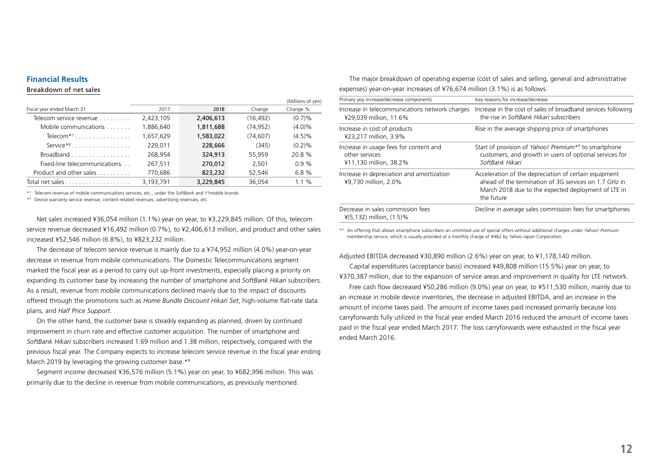## **Financial Results**

#### Breakdown of net sales

|                                          |           |           |           | (Millions of yen) |
|------------------------------------------|-----------|-----------|-----------|-------------------|
| Fiscal year ended March 31               | 2017      | 2018      | Change    | Change %          |
| Telecom service revenue                  | 2,423,105 | 2,406,613 | (16, 492) | (0.7)%            |
| Mobile communications                    | 1,886,640 | 1,811,688 | (74, 952) | $(4.0)\%$         |
| Telecom <sup>*7</sup>                    | 1,657,629 | 1,583,022 | (74, 607) | (4.5)%            |
| Service* $8 \ldots \ldots \ldots \ldots$ | 229.011   | 228,666   | (345)     | (0.2)%            |
| Broadband                                | 268.954   | 324,913   | 55,959    | 20.8 %            |
| Fixed-line telecommunications            | 267,511   | 270,012   | 2.501     | 0.9%              |
| Product and other sales                  | 770,686   | 823,232   | 52,546    | 6.8%              |
|                                          | 3,193,791 | 3,229,845 | 36,054    | $1.1 \%$          |

\*7 Telecom revenue of mobile communications services, etc., under the *SoftBank* and *Y!mobile* brands

\*8 Device warranty service revenue, content-related revenues, advertising revenues, etc.

Net sales increased ¥36,054 million (1.1%) year on year, to ¥3,229,845 million. Of this, telecom service revenue decreased ¥16,492 million (0.7%), to ¥2,406,613 million, and product and other sales increased ¥52,546 million (6.8%), to ¥823,232 million.

The decrease of telecom service revenue is mainly due to a ¥74,952 million (4.0%) year-on-year decrease in revenue from mobile communications. The Domestic Telecommunications segment marked the fiscal year as a period to carry out up-front investments, especially placing a priority on expanding its customer base by increasing the number of smartphone and *SoftBank Hikari* subscribers. As a result, revenue from mobile communications declined mainly due to the impact of discounts offered through the promotions such as *Home Bundle Discount Hikari Set*, high-volume flat-rate data plans, and *Half Price Support*.

On the other hand, the customer base is steadily expanding as planned, driven by continued improvement in churn rate and effective customer acquisition. The number of smartphone and *SoftBank Hikari* subscribers increased 1.69 million and 1.38 million, respectively, compared with the previous fiscal year. The Company expects to increase telecom service revenue in the fiscal year ending March 2019 by leveraging the growing customer base.\*9

Segment income decreased ¥36,576 million (5.1%) year on year, to ¥682,996 million. This was primarily due to the decline in revenue from mobile communications, as previously mentioned.

The major breakdown of operating expense (cost of sales and selling, general and administrative expenses) year-on-year increases of ¥76,674 million (3.1%) is as follows.

| Primary yoy increase/decrease components                                           | Key reasons for increase/decrease                                                                                                                                                   |
|------------------------------------------------------------------------------------|-------------------------------------------------------------------------------------------------------------------------------------------------------------------------------------|
| Increase in telecommunications network charges<br>¥29,039 million, 11.6%           | Increase in the cost of sales of broadband services following<br>the rise in SoftBank Hikari subscribers                                                                            |
| Increase in cost of products<br>¥23,217 million, 3.9%                              | Rise in the average shipping price of smartphones                                                                                                                                   |
| Increase in usage fees for content and<br>other services<br>¥11,130 million, 38.2% | Start of provision of Yahoo! Premium <sup>*9</sup> to smartphone<br>customers, and growth in users of optional services for<br>SoftBank Hikari                                      |
| Increase in depreciation and amortization<br>¥9.730 million. 2.0%                  | Acceleration of the depreciation of certain equipment<br>ahead of the termination of 3G services on 1.7 GHz in<br>March 2018 due to the expected deployment of LTE in<br>the future |
| Decrease in sales commission fees<br>$\frac{1}{2}$ (5,132) million, (1.5)%         | Decline in average sales commission fees for smartphones                                                                                                                            |

\*9 An offering that allows smartphone subscribers an unlimited use of special offers without additional charges under *Yahoo! Premium* membership service, which is usually provided at a monthly charge of ¥462 by Yahoo Japan Corporation.

Adjusted EBITDA decreased ¥30,890 million (2.6%) year on year, to ¥1,178,140 million.

Capital expenditures (acceptance basis) increased ¥49,808 million (15.5%) year on year, to ¥370,387 million, due to the expansion of service areas and improvement in quality for LTE network. Free cash flow decreased ¥50,286 million (9.0%) year on year, to ¥511,530 million, mainly due to an increase in mobile device inventories, the decrease in adjusted EBITDA, and an increase in the amount of income taxes paid. The amount of income taxes paid increased primarily because loss carryforwards fully utilized in the fiscal year ended March 2016 reduced the amount of income taxes paid in the fiscal year ended March 2017. The loss carryforwards were exhausted in the fiscal year ended March 2016.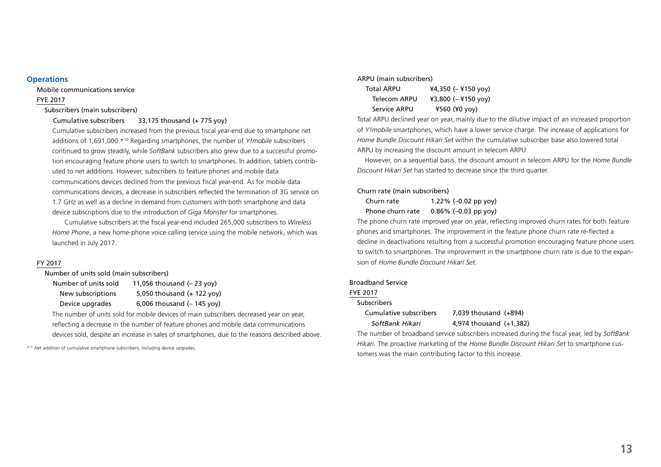#### **Operations**

Mobile communications service

## FYE 2017

### Subscribers (main subscribers)

### Cumulative subscribers 33,175 thousand (+ 775 yoy)

 Cumulative subscribers increased from the previous fiscal year-end due to smartphone net additions of 1,691,000.\*10 Regarding smartphones, the number of *Y!mobile* subscribers continued to grow steadily, while *SoftBank* subscribers also grew due to a successful promotion encouraging feature phone users to switch to smartphones. In addition, tablets contributed to net additions. However, subscribers to feature phones and mobile data communications devices declined from the previous fiscal year-end. As for mobile data communications devices, a decrease in subscribers reflected the termination of 3G service on 1.7 GHz as well as a decline in demand from customers with both smartphone and data device subscriptions due to the introduction of *Giga Monster* for smartphones.

 Cumulative subscribers at the fiscal year-end included 265,000 subscribers to *Wireless Home Phone*, a new home-phone voice calling service using the mobile network, which was launched in July 2017.

### FY 2017

Number of units sold (main subscribers)

| Number of units sold | 11,056 thousand $(-23$ yoy)         |
|----------------------|-------------------------------------|
| New subscriptions    | 5,050 thousand $(+ 122$ yoy)        |
| Device upgrades      | 6,006 thousand $(-145 \text{ yoy})$ |

 The number of units sold for mobile devices of main subscribers decreased year on year, reflecting a decrease in the number of feature phones and mobile data communications devices sold, despite an increase in sales of smartphones, due to the reasons described above.

\*10 Net addition of cumulative smartphone subscribers, including device upgrades.

#### ARPU (main subscribers)

| <b>Total ARPU</b> | ¥4,350 $(-$ ¥150 yoy) |
|-------------------|-----------------------|
| Telecom ARPU      | ¥3,800 $(-$ ¥150 yoy) |
| Service ARPU      | ¥560 (¥0 yoy)         |

 Total ARPU declined year on year, mainly due to the dilutive impact of an increased proportion of *Y!mobile* smartphones, which have a lower service charge. The increase of applications for *Home Bundle Discount Hikari Set* within the cumulative subscriber base also lowered total ARPU by increasing the discount amount in telecom ARPU.

 However, on a sequential basis, the discount amount in telecom ARPU for the *Home Bundle Discount Hikari Set* has started to decrease since the third quarter.

#### Churn rate (main subscribers)

 Churn rate 1.22% (–0.02 pp yoy) Phone churn rate 0.86% (-0.03 pp yoy)

The phone churn rate improved year on year, reflecting improved churn rates for both feature phones and smartphones. The improvement in the feature phone churn rate re-flected a decline in deactivations resulting from a successful promotion encouraging feature phone users to switch to smartphones. The improvement in the smartphone churn rate is due to the expansion of *Home Bundle Discount Hikari Set*.

### Broadband Service

## FYE 2017

#### Subscribers

| Cumulative subscribers | 7.039 thousand (+894)   |  |
|------------------------|-------------------------|--|
| SoftBank Hikari        | 4,974 thousand (+1,382) |  |

The number of broadband service subscribers increased during the fiscal year, led by *SoftBank Hikari*. The proactive marketing of the *Home Bundle Discount Hikari Set* to smartphone customers was the main contributing factor to this increase.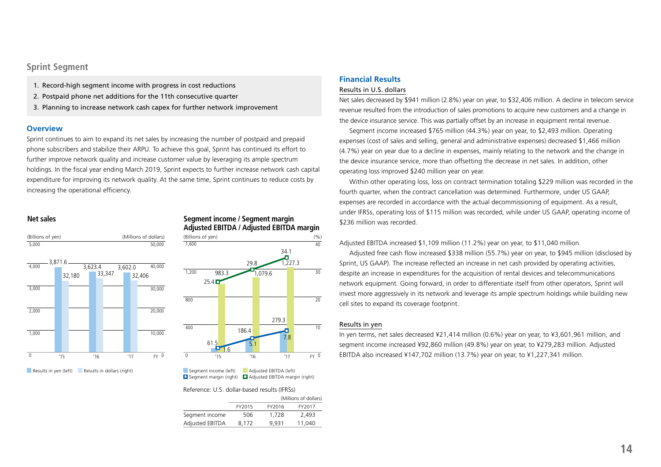# **Sprint Segment**

- 1. Record-high segment income with progress in cost reductions
- 2. Postpaid phone net additions for the 11th consecutive quarter
- 3. Planning to increase network cash capex for further network improvement

#### **Overview**

Sprint continues to aim to expand its net sales by increasing the number of postpaid and prepaid phone subscribers and stabilize their ARPU. To achieve this goal, Sprint has continued its effort to further improve network quality and increase customer value by leveraging its ample spectrum holdings. In the fiscal year ending March 2019, Sprint expects to further increase network cash capital expenditure for improving its network quality. At the same time, Sprint continues to reduce costs by increasing the operational efficiency.

### **Net sales**



Results in yen (left) Results in dollars (right)

### **Segment income / Segment margin Adjusted EBITDA / Adjusted EBITDA margin**



Segment income (left) Adjusted EBITDA (left)  $\Box$  Segment margin (right)  $\Box$  Adjusted EBITDA margin (right)

#### Reference: U.S. dollar-based results (IFRSs)

|                 |        | (Millions of dollars) |        |  |  |  |
|-----------------|--------|-----------------------|--------|--|--|--|
|                 | FY2015 | FY2016                | FY2017 |  |  |  |
| Segment income  | 506    | 1.728                 | 2.493  |  |  |  |
| Adjusted EBITDA | 8.172  | 9.931                 | 11,040 |  |  |  |

## **Financial Results**

#### Results in U.S. dollars

Net sales decreased by \$941 million (2.8%) year on year, to \$32,406 million. A decline in telecom service revenue resulted from the introduction of sales promotions to acquire new customers and a change in the device insurance service. This was partially offset by an increase in equipment rental revenue.

Segment income increased \$765 million (44.3%) year on year, to \$2,493 million. Operating expenses (cost of sales and selling, general and administrative expenses) decreased \$1,466 million (4.7%) year on year due to a decline in expenses, mainly relating to the network and the change in the device insurance service, more than offsetting the decrease in net sales. In addition, other operating loss improved \$240 million year on year.

Within other operating loss, loss on contract termination totaling \$229 million was recorded in the fourth quarter, when the contract cancellation was determined. Furthermore, under US GAAP, expenses are recorded in accordance with the actual decommissioning of equipment. As a result, under IFRSs, operating loss of \$115 million was recorded, while under US GAAP, operating income of \$236 million was recorded.

Adjusted EBITDA increased \$1,109 million (11.2%) year on year, to \$11,040 million.

Adjusted free cash flow increased \$338 million (55.7%) year on year, to \$945 million (disclosed by Sprint, US GAAP). The increase reflected an increase in net cash provided by operating activities, despite an increase in expenditures for the acquisition of rental devices and telecommunications network equipment. Going forward, in order to differentiate itself from other operators, Sprint will invest more aggressively in its network and leverage its ample spectrum holdings while building new cell sites to expand its coverage footprint.

#### Results in yen

In yen terms, net sales decreased ¥21,414 million (0.6%) year on year, to ¥3,601,961 million, and segment income increased ¥92,860 million (49.8%) year on year, to ¥279,283 million. Adjusted EBITDA also increased ¥147,702 million (13.7%) year on year, to ¥1,227,341 million.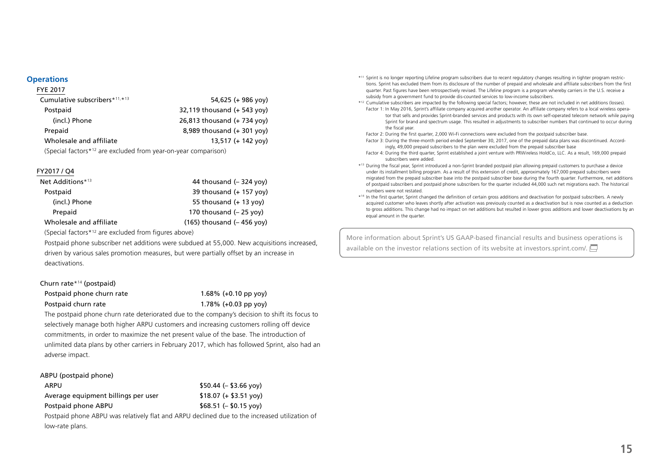### **Operations**

# FYE 2017 Cumulative subscribers  $*11, *13$  54,625 (+ 986 yov) Postpaid 22,119 thousand (+ 543 yoy) (incl.) Phone 26,813 thousand (+ 734 yoy) Prepaid **8,989** thousand (+ 301 yov) Wholesale and affiliate 13,517 (+ 142 yoy) (Special factors\*12 are excluded from year-on-year comparison)

### FY2017 / Q4

| Net Additions*13        | 44 thousand $(-324$ yoy)         |
|-------------------------|----------------------------------|
| Postpaid                | 39 thousand $(+ 157$ yoy)        |
| (incl.) Phone           | 55 thousand $(+ 13$ yoy)         |
| Prepaid                 | 170 thousand $(-25 \text{ vov})$ |
| Wholesale and affiliate | $(165)$ thousand $(-456$ yoy)    |

(Special factors\*12 are excluded from figures above)

Postpaid phone subscriber net additions were subdued at 55,000. New acquisitions increased, driven by various sales promotion measures, but were partially offset by an increase in deactivations.

#### Churn rate\*14 (postpaid)

Postpaid phone churn rate 1.68% (+0.10 pp yoy) Postpaid churn rate 1.78% (+0.03 pp yoy)

The postpaid phone churn rate deteriorated due to the company's decision to shift its focus to selectively manage both higher ARPU customers and increasing customers rolling off device commitments, in order to maximize the net present value of the base. The introduction of unlimited data plans by other carriers in February 2017, which has followed Sprint, also had an adverse impact.

#### ABPU (postpaid phone)

| ARPU                                | $$50.44 (- $3.66 vov)$ |
|-------------------------------------|------------------------|
| Average equipment billings per user | $$18.07 (+ $3.51 vov)$ |
| Postpaid phone ABPU                 | $$68.51 (- $0.15 yoy)$ |

Postpaid phone ABPU was relatively flat and ARPU declined due to the increased utilization of low-rate plans.

- \*11 Sprint is no longer reporting Lifeline program subscribers due to recent regulatory changes resulting in tighter program restrictions. Sprint has excluded them from its disclosure of the number of prepaid and wholesale and affiliate subscribers from the first quarter. Past figures have been retrospectively revised. The Lifeline program is a program whereby carriers in the U.S. receive a subsidy from a government fund to provide dis-counted services to low-income subscribers.
- \*12 Cumulative subscribers are impacted by the following special factors; however, these are not included in net additions (losses). Factor 1: In May 2016, Sprint's affiliate company acquired another operator. An affiliate company refers to a local wireless operator that sells and provides Sprint-branded services and products with its own self-operated telecom network while paying Sprint for brand and spectrum usage. This resulted in adjustments to subscriber numbers that continued to occur during the fiscal year.
- Factor 2: During the first quarter, 2,000 Wi-Fi connections were excluded from the postpaid subscriber base.
- Factor 3: During the three-month period ended September 30, 2017, one of the prepaid data plans was discontinued. Accordingly, 49,000 prepaid subscribers to the plan were excluded from the prepaid subscriber base
- Factor 4: During the third quarter, Sprint established a joint venture with PRWireless HoldCo, LLC. As a result, 169,000 prepaid subscribers were added.
- \*13 During the fiscal year, Sprint introduced a non-Sprint branded postpaid plan allowing prepaid customers to purchase a device under its installment billing program. As a result of this extension of credit, approximately 167,000 prepaid subscribers were migrated from the prepaid subscriber base into the postpaid subscriber base during the fourth quarter. Furthermore, net additions of postpaid subscribers and postpaid phone subscribers for the quarter included 44,000 such net migrations each. The historical numbers were not restated.
- \*14 In the first quarter, Sprint changed the definition of certain gross additions and deactivation for postpaid subscribers. A newly acquired customer who leaves shortly after activation was previously counted as a deactivation but is now counted as a deduction to gross additions. This change had no impact on net additions but resulted in lower gross additions and lower deactivations by an equal amount in the quarter.

More information about Sprint's US GAAP-based financial results and business operations is availableon the investor relations section of its website at investors sprint.com/.  $\Box$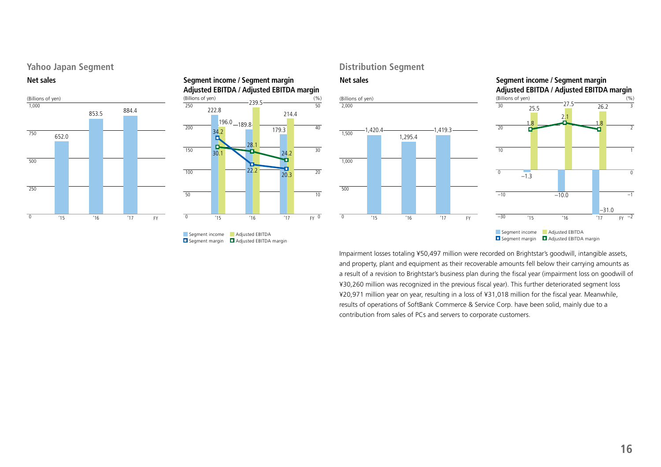# **Yahoo Japan Segment**





### $\frac{(96)}{50}$ **Segment income / Segment margin Adjusted EBITDA / Adjusted EBITDA margin** (Billions of yen)



# Segment margin **D** Adjusted EBITDA margin

# **Distribution Segment**





Impairment losses totaling ¥50,497 million were recorded on Brightstar's goodwill, intangible assets, and property, plant and equipment as their recoverable amounts fell below their carrying amounts as a result of a revision to Brightstar's business plan during the fiscal year (impairment loss on goodwill of ¥30,260 million was recognized in the previous fiscal year). This further deteriorated segment loss ¥20,971 million year on year, resulting in a loss of ¥31,018 million for the fiscal year. Meanwhile, results of operations of SoftBank Commerce & Service Corp. have been solid, mainly due to a contribution from sales of PCs and servers to corporate customers.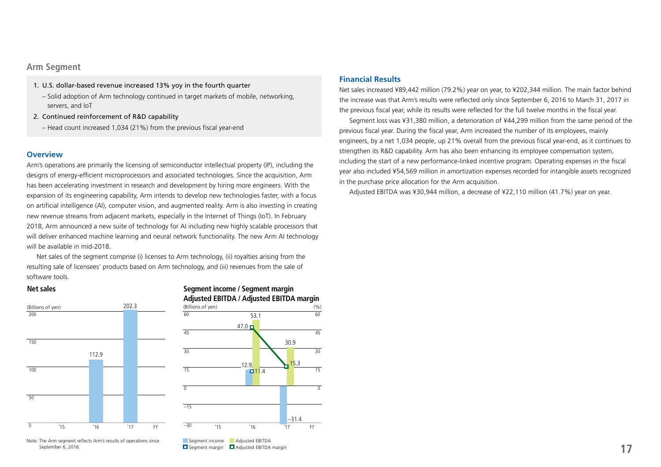# **Arm Segment**

- 1. U.S. dollar-based revenue increased 13% yoy in the fourth quarter
	- Solid adoption of Arm technology continued in target markets of mobile, networking, servers, and IoT
- 2. Continued reinforcement of R&D capability
	- Head count increased 1,034 (21%) from the previous fiscal year-end

### **Overview**

Arm's operations are primarily the licensing of semiconductor intellectual property (IP), including the designs of energy-efficient microprocessors and associated technologies. Since the acquisition, Arm has been accelerating investment in research and development by hiring more engineers. With the expansion of its engineering capability, Arm intends to develop new technologies faster, with a focus on artificial intelligence (AI), computer vision, and augmented reality. Arm is also investing in creating new revenue streams from adjacent markets, especially in the Internet of Things (IoT). In February 2018, Arm announced a new suite of technology for AI including new highly scalable processors that will deliver enhanced machine learning and neural network functionality. The new Arm AI technology will be available in mid-2018.

Net sales of the segment comprise (i) licenses to Arm technology, (ii) royalties arising from the resulting sale of licensees' products based on Arm technology, and (iii) revenues from the sale of software tools.

### **Net sales**



Note: The Arm segment reflects Arm's results of operations since September 6, 2016.





## **Financial Results**

Net sales increased ¥89,442 million (79.2%) year on year, to ¥202,344 million. The main factor behind the increase was that Arm's results were reflected only since September 6, 2016 to March 31, 2017 in the previous fiscal year, while its results were reflected for the full twelve months in the fiscal year.

Segment loss was ¥31,380 million, a deterioration of ¥44,299 million from the same period of the previous fiscal year. During the fiscal year, Arm increased the number of its employees, mainly engineers, by a net 1,034 people, up 21% overall from the previous fiscal year-end, as it continues to strengthen its R&D capability. Arm has also been enhancing its employee compensation system, including the start of a new performance-linked incentive program. Operating expenses in the fiscal year also included ¥54,569 million in amortization expenses recorded for intangible assets recognized in the purchase price allocation for the Arm acquisition.

Adjusted EBITDA was ¥30,944 million, a decrease of ¥22,110 million (41.7%) year on year.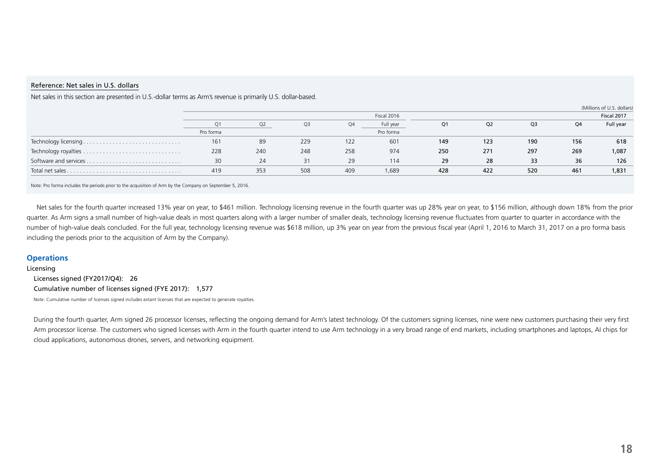#### Reference: Net sales in U.S. dollars

|                  |           |                |                |     |             |                |                |                |     | (Millions of U.S. dollars) |
|------------------|-----------|----------------|----------------|-----|-------------|----------------|----------------|----------------|-----|----------------------------|
|                  |           |                |                |     | Fiscal 2016 |                |                |                |     | Fiscal 2017                |
|                  |           | O <sub>2</sub> | Q <sub>3</sub> | 04  | Full year   | Q <sub>1</sub> | Q <sub>2</sub> | Q <sub>3</sub> | Q4  | Full year                  |
|                  | Pro forma |                |                |     | Pro forma   |                |                |                |     |                            |
|                  | 161       | 89             | 229            | 122 | 601         | 149            | 123            | 190            | 156 | 618                        |
|                  | 228       | 240            | 248            | 258 | 974         | 250            | 271            | 297            | 269 | 1,087                      |
|                  | 30        | 24             | 31             | 29  | 114         | 29             | 28             | 33             | 36  | 126                        |
| Total net sales. | 419       | 353            | 508            | 409 | 1,689       | 428            | 422            | 520            | 461 | 1,831                      |

Net sales in this section are presented in U.S.-dollar terms as Arm's revenue is primarily U.S. dollar-based.

Note: Pro forma includes the periods prior to the acquisition of Arm by the Company on September 5, 2016.

Net sales for the fourth quarter increased 13% year on year, to \$461 million. Technology licensing revenue in the fourth quarter was up 28% year on year, to \$156 million, although down 18% from the prior quarter. As Arm signs a small number of high-value deals in most quarters along with a larger number of smaller deals, technology licensing revenue fluctuates from quarter to quarter in accordance with the number of high-value deals concluded. For the full year, technology licensing revenue was \$618 million, up 3% year on year from the previous fiscal year (April 1, 2016 to March 31, 2017 on a pro forma basis including the periods prior to the acquisition of Arm by the Company).

### **Operations**

Licensing

Licenses signed (FY2017/Q4): 26 Cumulative number of licenses signed (FYE 2017): 1,577 Note: Cumulative number of licenses signed includes extant licenses that are expected to generate royalties.

During the fourth quarter, Arm signed 26 processor licenses, reflecting the ongoing demand for Arm's latest technology. Of the customers signing licenses, nine were new customers purchasing their very first Arm processor license. The customers who signed licenses with Arm in the fourth quarter intend to use Arm technology in a very broad range of end markets, including smartphones and laptops, AI chips for cloud applications, autonomous drones, servers, and networking equipment.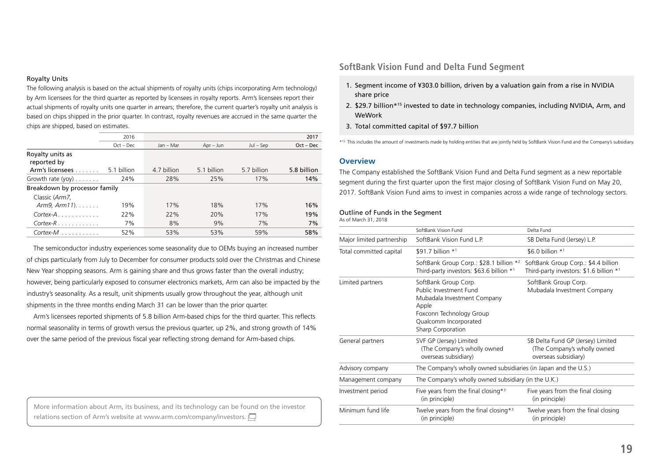#### Royalty Units

The following analysis is based on the actual shipments of royalty units (chips incorporating Arm technology) by Arm licensees for the third quarter as reported by licensees in royalty reports. Arm's licensees report their actual shipments of royalty units one quarter in arrears; therefore, the current quarter's royalty unit analysis is based on chips shipped in the prior quarter. In contrast, royalty revenues are accrued in the same quarter the chips are shipped, based on estimates.

|                                 | 2016        |             |             |             | 2017        |
|---------------------------------|-------------|-------------|-------------|-------------|-------------|
|                                 | $Oct - Dec$ | Jan - Mar   | $Apr - Jun$ | $Jul - Sep$ | $Oct - Dec$ |
| Royalty units as<br>reported by |             |             |             |             |             |
| Arm's licensees                 | 5.1 billion | 4.7 billion | 5.1 billion | 5.7 billion | 5.8 billion |
| Growth rate $(yoy)$             | 24%         | 28%         | 25%         | 17%         | 14%         |
| Breakdown by processor family   |             |             |             |             |             |
| Classic (Arm7,                  |             |             |             |             |             |
| $Arm9, Arm11). \ldots$          | 19%         | 17%         | 18%         | 17%         | 16%         |
| $Cortex-A$                      | 22%         | 22%         | 20%         | 17%         | 19%         |
| $Cortex-R$                      | 7%          | 8%          | 9%          | 7%          | 7%          |
| $Cortex-M$                      | 52%         | 53%         | 53%         | 59%         | 58%         |

The semiconductor industry experiences some seasonality due to OEMs buying an increased number of chips particularly from July to December for consumer products sold over the Christmas and Chinese New Year shopping seasons. Arm is gaining share and thus grows faster than the overall industry; however, being particularly exposed to consumer electronics markets, Arm can also be impacted by the industry's seasonality. As a result, unit shipments usually grow throughout the year, although unit shipments in the three months ending March 31 can be lower than the prior quarter.

Arm's licensees reported shipments of 5.8 billion Arm-based chips for the third quarter. This reflects normal seasonality in terms of growth versus the previous quarter, up 2%, and strong growth of 14% over the same period of the previous fiscal year reflecting strong demand for Arm-based chips.

More information about Arm, its business, and its technology can be found on the investor relationssection of Arm's website at www.arm.com/company/investors.

# **SoftBank Vision Fund and Delta Fund Segment**

- 1. Segment income of ¥303.0 billion, driven by a valuation gain from a rise in NVIDIA share price
- 2. \$29.7 billion\*15 invested to date in technology companies, including NVIDIA, Arm, and **WeWork**
- 3. Total committed capital of \$97.7 billion

\*15 This includes the amount of investments made by holding entities that are jointly held by SoftBank Vision Fund and the Company's subsidiary.

### **Overview**

The Company established the SoftBank Vision Fund and Delta Fund segment as a new reportable segment during the first quarter upon the first major closing of SoftBank Vision Fund on May 20, 2017. SoftBank Vision Fund aims to invest in companies across a wide range of technology sectors.

#### Outline of Funds in the Segment

As of March 31, 2018

|                           | SoftBank Vision Fund                                                                                                                                                    | Delta Fund                                                                               |
|---------------------------|-------------------------------------------------------------------------------------------------------------------------------------------------------------------------|------------------------------------------------------------------------------------------|
| Major limited partnership | SoftBank Vision Fund L.P.                                                                                                                                               | SB Delta Fund (Jersey) L.P.                                                              |
| Total committed capital   | \$91.7 billion $*1$                                                                                                                                                     | \$6.0 billion $*1$                                                                       |
|                           | SoftBank Group Corp.: \$28.1 billion *2<br>Third-party investors: \$63.6 billion *1                                                                                     | SoftBank Group Corp.: \$4.4 billion<br>Third-party investors: \$1.6 billion *1           |
| Limited partners          | SoftBank Group Corp.<br>Public Investment Fund<br>Mubadala Investment Company<br>Apple<br>Foxconn Technology Group<br>Qualcomm Incorporated<br><b>Sharp Corporation</b> | SoftBank Group Corp.<br>Mubadala Investment Company                                      |
| General partners          | SVF GP (Jersey) Limited<br>(The Company's wholly owned<br>overseas subsidiary)                                                                                          | SB Delta Fund GP (Jersey) Limited<br>(The Company's wholly owned<br>overseas subsidiary) |
| Advisory company          | The Company's wholly owned subsidiaries (in Japan and the U.S.)                                                                                                         |                                                                                          |
| Management company        | The Company's wholly owned subsidiary (in the U.K.)                                                                                                                     |                                                                                          |
| Investment period         | Five years from the final closing $*$ <sup>3</sup><br>(in principle)                                                                                                    | Five years from the final closing<br>(in principle)                                      |
| Minimum fund life         | Twelve years from the final closing $*$ <sup>3</sup><br>(in principle)                                                                                                  | Twelve years from the final closing<br>(in principle)                                    |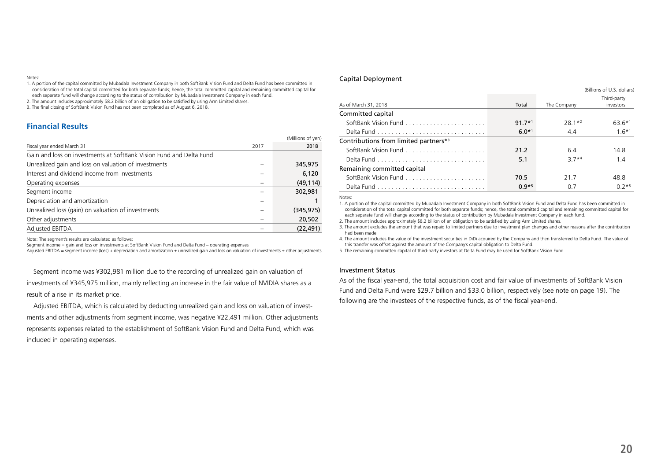#### Notes:

1. A portion of the capital committed by Mubadala Investment Company in both SoftBank Vision Fund and Delta Fund has been committed in consideration of the total capital committed for both separate funds; hence, the total committed capital and remaining committed capital for each separate fund will change according to the status of contribution by Mubadala Investment Company in each fund.

2. The amount includes approximately \$8.2 billion of an obligation to be satisfied by using Arm Limited shares.

3. The final closing of SoftBank Vision Fund has not been completed as of August 6, 2018.

### **Financial Results**

|                                                                     |      | (Millions of yen) |
|---------------------------------------------------------------------|------|-------------------|
| Fiscal year ended March 31                                          | 2017 | 2018              |
| Gain and loss on investments at SoftBank Vision Fund and Delta Fund |      |                   |
| Unrealized gain and loss on valuation of investments                |      | 345,975           |
| Interest and dividend income from investments                       |      | 6,120             |
| Operating expenses                                                  |      | (49, 114)         |
| Segment income                                                      |      | 302,981           |
| Depreciation and amortization                                       |      |                   |
| Unrealized loss (gain) on valuation of investments                  |      | (345, 975)        |
| Other adjustments                                                   |      | 20,502            |
| <b>Adjusted EBITDA</b>                                              |      | (22, 491)         |

Note: The segment's results are calculated as follows:

Segment income = gain and loss on investments at SoftBank Vision Fund and Delta Fund – operating expenses

Adjusted EBITDA = segment income (loss) + depreciation and amortization ± unrealized gain and loss on valuation of investments ± other adjustments

Segment income was ¥302,981 million due to the recording of unrealized gain on valuation of investments of ¥345,975 million, mainly reflecting an increase in the fair value of NVIDIA shares as a result of a rise in its market price.

Adjusted EBITDA, which is calculated by deducting unrealized gain and loss on valuation of investments and other adjustments from segment income, was negative ¥22,491 million. Other adjustments represents expenses related to the establishment of SoftBank Vision Fund and Delta Fund, which was included in operating expenses.

#### Capital Deployment

|                                                   |          | (Billions of U.S. dollars) |             |
|---------------------------------------------------|----------|----------------------------|-------------|
|                                                   |          |                            | Third-party |
| As of March 31, 2018                              | Total    | The Company                | investors   |
| Committed capital                                 |          |                            |             |
| SoftBank Vision Fund                              | $91.7*1$ | $28.1*2$                   | 63.6*1      |
|                                                   | $6.0*1$  | 4.4                        | $1.6*1$     |
| Contributions from limited partners* <sup>3</sup> |          |                            |             |
|                                                   | 21.2     | 64                         | 148         |
|                                                   | 5.1      | $37*4$                     | 1.4         |
| Remaining committed capital                       |          |                            |             |
|                                                   | 70.5     | 217                        | 48.8        |
|                                                   | $0.9*5$  | 0.7                        | $0.2*5$     |

Notes:

1. A portion of the capital committed by Mubadala Investment Company in both SoftBank Vision Fund and Delta Fund has been committed in consideration of the total capital committed for both separate funds; hence, the total committed capital and remaining committed capital for each separate fund will change according to the status of contribution by Mubadala Investment Company in each fund.

2. The amount includes approximately \$8.2 billion of an obligation to be satisfied by using Arm Limited shares.

3. The amount excludes the amount that was repaid to limited partners due to investment plan changes and other reasons after the contribution had been made.

4. The amount includes the value of the investment securities in DiDi acquired by the Company and then transferred to Delta Fund. The value of this transfer was offset against the amount of the Company's capital obligation to Delta Fund.

5. The remaining committed capital of third-party investors at Delta Fund may be used for SoftBank Vision Fund.

#### Investment Status

As of the fiscal year-end, the total acquisition cost and fair value of investments of SoftBank Vision Fund and Delta Fund were \$29.7 billion and \$33.0 billion, respectively (see note on page 19). The following are the investees of the respective funds, as of the fiscal year-end.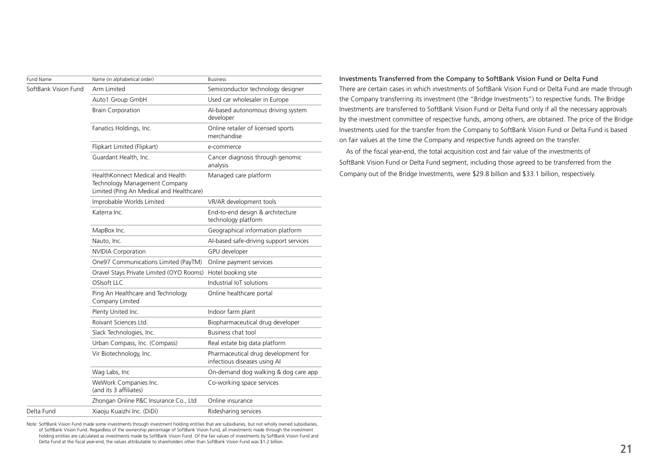| Fund Name            | Name (in alphabetical order)                                                                                  | <b>Business</b>                                                     |
|----------------------|---------------------------------------------------------------------------------------------------------------|---------------------------------------------------------------------|
| SoftBank Vision Fund | Arm Limited                                                                                                   | Semiconductor technology designer                                   |
|                      | Auto1 Group GmbH                                                                                              | Used car wholesaler in Europe                                       |
|                      | <b>Brain Corporation</b>                                                                                      | Al-based autonomous driving system<br>developer                     |
|                      | Fanatics Holdings, Inc.                                                                                       | Online retailer of licensed sports<br>merchandise                   |
|                      | Flipkart Limited (Flipkart)                                                                                   | e-commerce                                                          |
|                      | Guardant Health, Inc.                                                                                         | Cancer diagnosis through genomic<br>analysis                        |
|                      | HealthKonnect Medical and Health<br>Technology Management Company<br>Limited (Ping An Medical and Healthcare) | Managed care platform                                               |
|                      | Improbable Worlds Limited                                                                                     | VR/AR development tools                                             |
|                      | Katerra Inc.                                                                                                  | End-to-end design & architecture<br>technology platform             |
|                      | MapBox Inc.                                                                                                   | Geographical information platform                                   |
|                      | Nauto, Inc.                                                                                                   | Al-based safe-driving support services                              |
|                      | <b>NVIDIA Corporation</b>                                                                                     | GPU developer                                                       |
|                      | One97 Communications Limited (PayTM)                                                                          | Online payment services                                             |
|                      | Oravel Stays Private Limited (OYO Rooms)                                                                      | Hotel booking site                                                  |
|                      | OSIsoft LLC                                                                                                   | Industrial IoT solutions                                            |
|                      | Ping An Healthcare and Technology<br>Company Limited                                                          | Online healthcare portal                                            |
|                      | Plenty United Inc.                                                                                            | Indoor farm plant                                                   |
|                      | Roivant Sciences Ltd.                                                                                         | Biopharmaceutical drug developer                                    |
|                      | Slack Technologies, Inc.                                                                                      | Business chat tool                                                  |
|                      | Urban Compass, Inc. (Compass)                                                                                 | Real estate big data platform                                       |
|                      | Vir Biotechnology, Inc.                                                                                       | Pharmaceutical drug development for<br>infectious diseases using AI |
|                      | Wag Labs, Inc                                                                                                 | On-demand dog walking & dog care app                                |
|                      | WeWork Companies Inc.<br>(and its 3 affiliates)                                                               | Co-working space services                                           |
|                      | Zhongan Online P&C Insurance Co., Ltd                                                                         | Online insurance                                                    |
| Delta Fund           | Xiaoju Kuaizhi Inc. (DiDi)                                                                                    | Ridesharing services                                                |

Note: SoftBank Vision Fund made some investments through investment holding entities that are subsidiaries, but not wholly owned subsidiaries, of SoftBank Vision Fund. Regardless of the ownership percentage of SoftBank Vision Fund, all investments made through the investment holding entities are calculated as investments made by SoftBank Vision Fund. Of the fair values of investments by SoftBank Vision Fund and Delta Fund at the fiscal year-end, the values attributable to shareholders other than SoftBank Vision Fund was \$1.2 billion.

Investments Transferred from the Company to SoftBank Vision Fund or Delta Fund There are certain cases in which investments of SoftBank Vision Fund or Delta Fund are made through the Company transferring its investment (the "Bridge Investments") to respective funds. The Bridge Investments are transferred to SoftBank Vision Fund or Delta Fund only if all the necessary approvals by the investment committee of respective funds, among others, are obtained. The price of the Bridge Investments used for the transfer from the Company to SoftBank Vision Fund or Delta Fund is based on fair values at the time the Company and respective funds agreed on the transfer.

As of the fiscal year-end, the total acquisition cost and fair value of the investments of SoftBank Vision Fund or Delta Fund segment, including those agreed to be transferred from the Company out of the Bridge Investments, were \$29.8 billion and \$33.1 billion, respectively.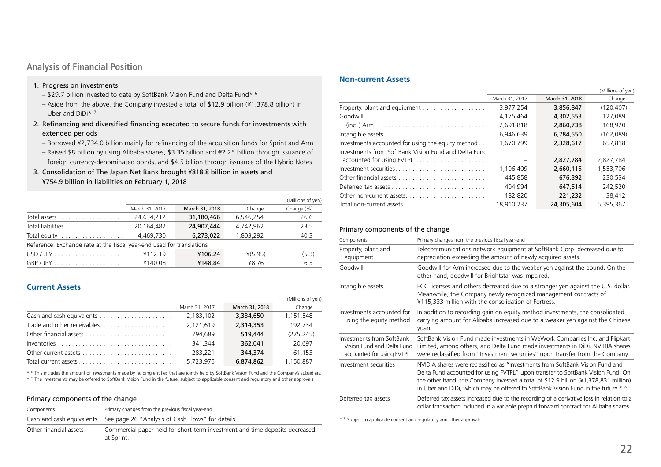# **Analysis of Financial Position**

### 1. Progress on investments

- \$29.7 billion invested to date by SoftBank Vision Fund and Delta Fund\*16
- Aside from the above, the Company invested a total of \$12.9 billion (¥1,378.8 billion) in Uber and DiDi\*17
- 2. Refinancing and diversified financing executed to secure funds for investments with extended periods
	- Borrowed ¥2,734.0 billion mainly for refinancing of the acquisition funds for Sprint and Arm
	- Raised \$8 billion by using Alibaba shares, \$3.35 billion and €2.25 billion through issuance of foreign currency-denominated bonds, and \$4.5 billion through issuance of the Hybrid Notes
- 3. Consolidation of The Japan Net Bank brought ¥818.8 billion in assets and ¥754.9 billion in liabilities on February 1, 2018

|                                                                       |                |                |           | (Millions of yen) |
|-----------------------------------------------------------------------|----------------|----------------|-----------|-------------------|
|                                                                       | March 31, 2017 | March 31, 2018 | Change    | Change (%)        |
|                                                                       | 24.634.212     | 31.180.466     | 6.546.254 | 26.6              |
| Total liabilities                                                     | 20,164,482     | 24,907,444     | 4.742.962 | 23.5              |
| Total equity                                                          | 4,469,730      | 6,273,022      | 1,803,292 | 40.3              |
| Reference: Exchange rate at the fiscal year-end used for translations |                |                |           |                   |
|                                                                       | ¥112.19        | ¥106.24        | $*(5.95)$ | (5.3)             |
| $GBP/JPY$                                                             | ¥140.08        | ¥148.84        | ¥8.76     | 6.3               |

# **Current Assets**

|                |                | (Millions of yen) |
|----------------|----------------|-------------------|
| March 31, 2017 | March 31, 2018 | Change            |
| 2,183,102      | 3,334,650      | 1,151,548         |
| 2,121,619      | 2,314,353      | 192.734           |
| 794.689        | 519,444        | (275, 245)        |
| 341.344        | 362,041        | 20.697            |
| 283,221        | 344,374        | 61,153            |
| 5.723.975      | 6,874,862      | 1,150,887         |

\*16 This includes the amount of investments made by holding entities that are jointly held by SoftBank Vision Fund and the Company's subsidiary.

\*17 The investments may be offered to SoftBank Vision Fund in the future, subject to applicable consent and regulatory and other approvals.

## Primary components of the change

| Components             | Primary changes from the previous fiscal year-end                                         |
|------------------------|-------------------------------------------------------------------------------------------|
|                        | Cash and cash equivalents See page 26 "Analysis of Cash Flows" for details.               |
| Other financial assets | Commercial paper held for short-term investment and time deposits decreased<br>at Sprint. |

# **Non-current Assets**

|                                                      |                |                | (Millions of yen) |
|------------------------------------------------------|----------------|----------------|-------------------|
|                                                      | March 31, 2017 | March 31, 2018 | Change            |
| Property, plant and equipment                        | 3,977,254      | 3,856,847      | (120.407)         |
|                                                      | 4,175,464      | 4,302,553      | 127,089           |
|                                                      | 2.691.818      | 2.860.738      | 168.920           |
|                                                      | 6,946,639      | 6,784,550      | (162,089)         |
| Investments accounted for using the equity method    | 1.670.799      | 2,328,617      | 657.818           |
| Investments from SoftBank Vision Fund and Delta Fund |                | 2,827,784      | 2,827,784         |
|                                                      | 1.106.409      | 2.660.115      | 1,553,706         |
|                                                      | 445,858        | 676,392        | 230,534           |
|                                                      | 404.994        | 647.514        | 242.520           |
| Other non-current assets                             | 182,820        | 221,232        | 38.412            |
|                                                      | 18.910.237     | 24,305,604     | 5.395.367         |

### Primary components of the change

| Components                                                                           | Primary changes from the previous fiscal year-end                                                                                                                                                                                                                                                                                           |
|--------------------------------------------------------------------------------------|---------------------------------------------------------------------------------------------------------------------------------------------------------------------------------------------------------------------------------------------------------------------------------------------------------------------------------------------|
| Property, plant and<br>equipment                                                     | Telecommunications network equipment at SoftBank Corp. decreased due to<br>depreciation exceeding the amount of newly acquired assets.                                                                                                                                                                                                      |
| Goodwill                                                                             | Goodwill for Arm increased due to the weaker yen against the pound. On the<br>other hand, goodwill for Brightstar was impaired.                                                                                                                                                                                                             |
| Intangible assets                                                                    | FCC licenses and others decreased due to a stronger yen against the U.S. dollar.<br>Meanwhile, the Company newly recognized management contracts of<br>¥115,333 million with the consolidation of Fortress.                                                                                                                                 |
| Investments accounted for<br>using the equity method                                 | In addition to recording gain on equity method investments, the consolidated<br>carrying amount for Alibaba increased due to a weaker yen against the Chinese<br>yuan.                                                                                                                                                                      |
| Investments from SoftBank<br>Vision Fund and Delta Fund<br>accounted for using FVTPL | SoftBank Vision Fund made investments in WeWork Companies Inc. and Flipkart<br>Limited, among others, and Delta Fund made investments in DiDi. NVIDIA shares<br>were reclassified from "Investment securities" upon transfer from the Company.                                                                                              |
| Investment securities                                                                | NVIDIA shares were reclassified as "Investments from SoftBank Vision Fund and<br>Delta Fund accounted for using FVTPL" upon transfer to SoftBank Vision Fund. On<br>the other hand, the Company invested a total of \$12.9 billion (¥1,378,831 million)<br>in Uber and DiDi, which may be offered to SoftBank Vision Fund in the future.*18 |
| Deferred tax assets                                                                  | Deferred tax assets increased due to the recording of a derivative loss in relation to a<br>collar transaction included in a variable prepaid forward contract for Alibaba shares.                                                                                                                                                          |

\*18 Subject to applicable consent and regulatory and other approvals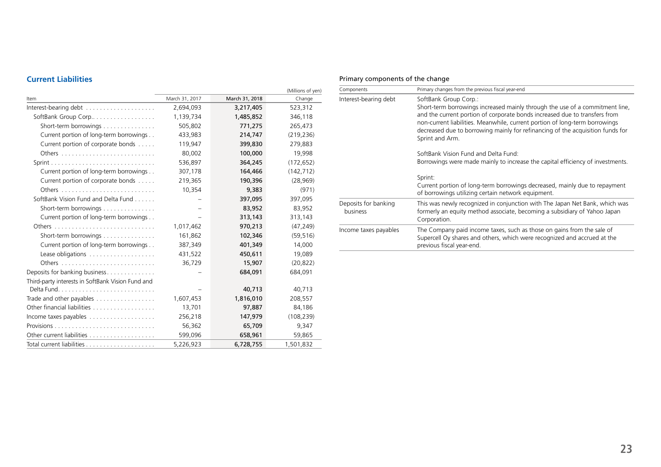# **Current Liabilities**

|                                                             |                |                | (Millions of yen) |
|-------------------------------------------------------------|----------------|----------------|-------------------|
| Item                                                        | March 31, 2017 | March 31, 2018 | Change            |
| Interest-bearing debt                                       | 2,694,093      | 3,217,405      | 523,312           |
| SoftBank Group Corp                                         | 1,139,734      | 1,485,852      | 346,118           |
| Short-term borrowings                                       | 505,802        | 771,275        | 265,473           |
| Current portion of long-term borrowings                     | 433,983        | 214,747        | (219, 236)        |
| Current portion of corporate bonds                          | 119,947        | 399,830        | 279,883           |
|                                                             | 80,002         | 100,000        | 19,998            |
|                                                             | 536,897        | 364,245        | (172, 652)        |
| Current portion of long-term borrowings                     | 307,178        | 164,466        | (142, 712)        |
| Current portion of corporate bonds                          | 219,365        | 190,396        | (28,969)          |
|                                                             | 10,354         | 9,383          | (971)             |
| SoftBank Vision Fund and Delta Fund                         |                | 397,095        | 397,095           |
| Short-term borrowings                                       |                | 83,952         | 83,952            |
| Current portion of long-term borrowings                     |                | 313,143        | 313,143           |
|                                                             | 1,017,462      | 970,213        | (47, 249)         |
| Short-term borrowings                                       | 161,862        | 102,346        | (59, 516)         |
| Current portion of long-term borrowings                     | 387,349        | 401,349        | 14,000            |
|                                                             | 431,522        | 450,611        | 19,089            |
|                                                             | 36,729         | 15,907         | (20, 822)         |
| Deposits for banking business                               |                | 684,091        | 684,091           |
| Third-party interests in SoftBank Vision Fund and           |                |                |                   |
|                                                             |                | 40,713         | 40,713            |
| Trade and other payables $\dots\dots\dots\dots\dots\dots$   | 1,607,453      | 1,816,010      | 208,557           |
|                                                             | 13,701         | 97,887         | 84,186            |
| Income taxes payables $\dots\dots\dots\dots\dots\dots\dots$ | 256,218        | 147,979        | (108, 239)        |
|                                                             | 56,362         | 65,709         | 9,347             |
|                                                             | 599,096        | 658,961        | 59,865            |
|                                                             | 5,226,923      | 6,728,755      | 1,501,832         |

# Primary components of the change

| Components                       | Primary changes from the previous fiscal year-end                                                                                                                                                                                                                                                                                                                       |
|----------------------------------|-------------------------------------------------------------------------------------------------------------------------------------------------------------------------------------------------------------------------------------------------------------------------------------------------------------------------------------------------------------------------|
| Interest-bearing debt            | SoftBank Group Corp.:<br>Short-term borrowings increased mainly through the use of a commitment line,<br>and the current portion of corporate bonds increased due to transfers from<br>non-current liabilities. Meanwhile, current portion of long-term borrowings<br>decreased due to borrowing mainly for refinancing of the acquisition funds for<br>Sprint and Arm. |
|                                  | SoftBank Vision Fund and Delta Fund:<br>Borrowings were made mainly to increase the capital efficiency of investments.<br>Sprint:<br>Current portion of long-term borrowings decreased, mainly due to repayment<br>of borrowings utilizing certain network equipment.                                                                                                   |
| Deposits for banking<br>business | This was newly recognized in conjunction with The Japan Net Bank, which was<br>formerly an equity method associate, becoming a subsidiary of Yahoo Japan<br>Corporation.                                                                                                                                                                                                |
| Income taxes payables            | The Company paid income taxes, such as those on gains from the sale of<br>Supercell Oy shares and others, which were recognized and accrued at the<br>previous fiscal year-end.                                                                                                                                                                                         |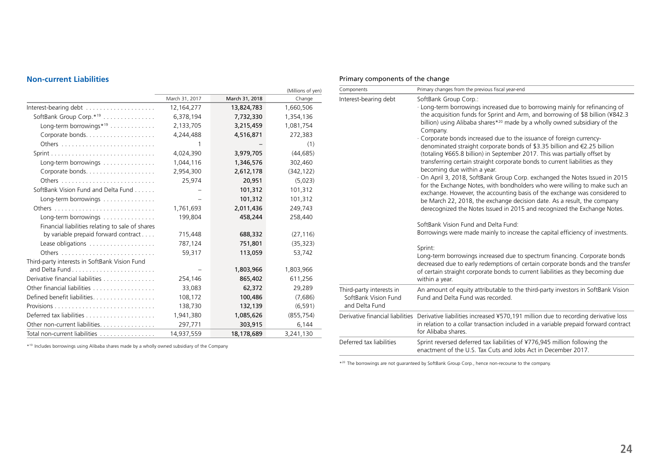# **Non-current Liabilities**

|                                                  |                |                | (Millions of yen) |
|--------------------------------------------------|----------------|----------------|-------------------|
|                                                  | March 31, 2017 | March 31, 2018 | Change            |
| Interest-bearing debt                            | 12,164,277     | 13,824,783     | 1,660,506         |
| SoftBank Group Corp.* <sup>19</sup>              | 6,378,194      | 7,732,330      | 1,354,136         |
| Long-term borrowings* <sup>19</sup>              | 2,133,705      | 3,215,459      | 1,081,754         |
|                                                  | 4,244,488      | 4,516,871      | 272,383           |
|                                                  | 1              |                | (1)               |
|                                                  | 4,024,390      | 3,979,705      | (44, 685)         |
| Long-term borrowings $\dots\dots\dots\dots\dots$ | 1,044,116      | 1,346,576      | 302,460           |
|                                                  | 2,954,300      | 2,612,178      | (342, 122)        |
|                                                  | 25,974         | 20,951         | (5,023)           |
| SoftBank Vision Fund and Delta Fund              |                | 101,312        | 101,312           |
| Long-term borrowings                             |                | 101,312        | 101,312           |
|                                                  | 1,761,693      | 2,011,436      | 249,743           |
| Long-term borrowings                             | 199,804        | 458,244        | 258,440           |
| Financial liabilities relating to sale of shares |                |                |                   |
| by variable prepaid forward contract             | 715,448        | 688,332        | (27, 116)         |
|                                                  | 787,124        | 751,801        | (35, 323)         |
|                                                  | 59,317         | 113,059        | 53,742            |
| Third-party interests in SoftBank Vision Fund    |                |                |                   |
|                                                  |                | 1,803,966      | 1,803,966         |
| Derivative financial liabilities                 | 254,146        | 865,402        | 611,256           |
| Other financial liabilities                      | 33,083         | 62,372         | 29,289            |
| Defined benefit liabilities.                     | 108,172        | 100,486        | (7,686)           |
|                                                  | 138,730        | 132,139        | (6, 591)          |
|                                                  | 1,941,380      | 1,085,626      | (855, 754)        |
| Other non-current liabilities.                   | 297,771        | 303,915        | 6,144             |
| Total non-current liabilities                    | 14,937,559     | 18,178,689     | 3,241,130         |

\*19 Includes borrowings using Alibaba shares made by a wholly owned subsidiary of the Company

# Primary components of the change

| Components                                                         | Primary changes from the previous fiscal year-end                                                                                                                                                                                                                                                                                                                                          |
|--------------------------------------------------------------------|--------------------------------------------------------------------------------------------------------------------------------------------------------------------------------------------------------------------------------------------------------------------------------------------------------------------------------------------------------------------------------------------|
| Interest-bearing debt                                              | SoftBank Group Corp.:<br>· Long-term borrowings increased due to borrowing mainly for refinancing of<br>the acquisition funds for Sprint and Arm, and borrowing of \$8 billion (¥842.3<br>billion) using Alibaba shares* <sup>20</sup> made by a wholly owned subsidiary of the<br>Company.                                                                                                |
|                                                                    | · Corporate bonds increased due to the issuance of foreign currency-<br>denominated straight corporate bonds of \$3.35 billion and €2.25 billion<br>(totaling ¥665.8 billion) in September 2017. This was partially offset by<br>transferring certain straight corporate bonds to current liabilities as they<br>becoming due within a year.                                               |
|                                                                    | On April 3, 2018, SoftBank Group Corp. exchanged the Notes Issued in 2015<br>for the Exchange Notes, with bondholders who were willing to make such an<br>exchange. However, the accounting basis of the exchange was considered to<br>be March 22, 2018, the exchange decision date. As a result, the company<br>derecognized the Notes Issued in 2015 and recognized the Exchange Notes. |
|                                                                    | SoftBank Vision Fund and Delta Fund:<br>Borrowings were made mainly to increase the capital efficiency of investments.                                                                                                                                                                                                                                                                     |
|                                                                    | Sprint:<br>Long-term borrowings increased due to spectrum financing. Corporate bonds<br>decreased due to early redemptions of certain corporate bonds and the transfer<br>of certain straight corporate bonds to current liabilities as they becoming due<br>within a year.                                                                                                                |
| Third-party interests in<br>SoftBank Vision Fund<br>and Delta Fund | An amount of equity attributable to the third-party investors in SoftBank Vision<br>Fund and Delta Fund was recorded.                                                                                                                                                                                                                                                                      |
|                                                                    | Derivative financial liabilities Derivative liabilities increased ¥570,191 million due to recording derivative loss<br>in relation to a collar transaction included in a variable prepaid forward contract<br>for Alibaba shares.                                                                                                                                                          |
| Deferred tax liabilities                                           | Sprint reversed deferred tax liabilities of ¥776,945 million following the<br>enactment of the U.S. Tax Cuts and Jobs Act in December 2017.                                                                                                                                                                                                                                                |

\*<sup>20</sup> The borrowings are not guaranteed by SoftBank Group Corp., hence non-recourse to the company.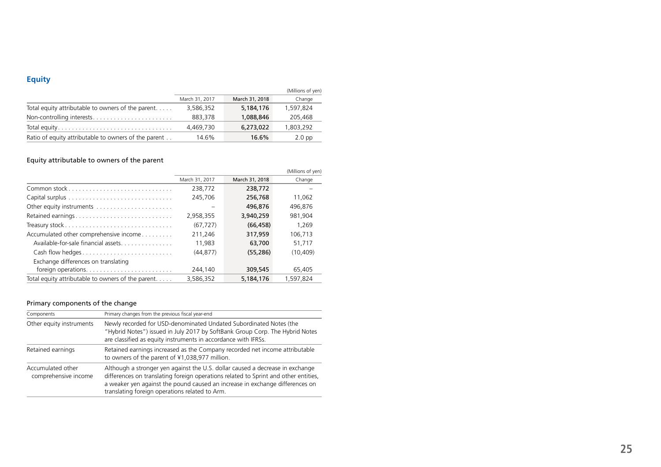# **Equity**

|                                                            |                |                | (Millions of yen) |
|------------------------------------------------------------|----------------|----------------|-------------------|
|                                                            | March 31, 2017 | March 31, 2018 | Change            |
| Total equity attributable to owners of the parent. $\dots$ | 3,586,352      | 5,184,176      | 1,597,824         |
| Non-controlling interests                                  | 883,378        | 1,088,846      | 205,468           |
|                                                            | 4,469,730      | 6,273,022      | 1,803,292         |
| Ratio of equity attributable to owners of the parent       | 14.6%          | $16.6\%$       | $2.0$ pp          |

# Equity attributable to owners of the parent

|                                                              |                |                | (Millions of yen) |
|--------------------------------------------------------------|----------------|----------------|-------------------|
|                                                              | March 31, 2017 | March 31, 2018 | Change            |
|                                                              | 238,772        | 238,772        |                   |
|                                                              | 245,706        | 256,768        | 11.062            |
|                                                              |                | 496.876        | 496.876           |
| Retained earnings                                            | 2,958,355      | 3.940.259      | 981.904           |
|                                                              | (67.727)       | (66, 458)      | 1.269             |
| Accumulated other comprehensive income                       | 211,246        | 317.959        | 106.713           |
| Available-for-sale financial assets                          | 11.983         | 63,700         | 51.717            |
| Cash flow hedges                                             | (44.877)       | (55, 286)      | (10.409)          |
| Exchange differences on translating                          |                |                |                   |
|                                                              | 244,140        | 309,545        | 65,405            |
| Total equity attributable to owners of the parent. $\dots$ . | 3.586.352      | 5,184,176      | 1.597.824         |

# Primary components of the change

| Components                                | Primary changes from the previous fiscal year-end                                                                                                                                                                                                                                                      |
|-------------------------------------------|--------------------------------------------------------------------------------------------------------------------------------------------------------------------------------------------------------------------------------------------------------------------------------------------------------|
| Other equity instruments                  | Newly recorded for USD-denominated Undated Subordinated Notes (the<br>"Hybrid Notes") issued in July 2017 by SoftBank Group Corp. The Hybrid Notes<br>are classified as equity instruments in accordance with IFRSs.                                                                                   |
| Retained earnings                         | Retained earnings increased as the Company recorded net income attributable<br>to owners of the parent of ¥1,038,977 million.                                                                                                                                                                          |
| Accumulated other<br>comprehensive income | Although a stronger yen against the U.S. dollar caused a decrease in exchange<br>differences on translating foreign operations related to Sprint and other entities,<br>a weaker yen against the pound caused an increase in exchange differences on<br>translating foreign operations related to Arm. |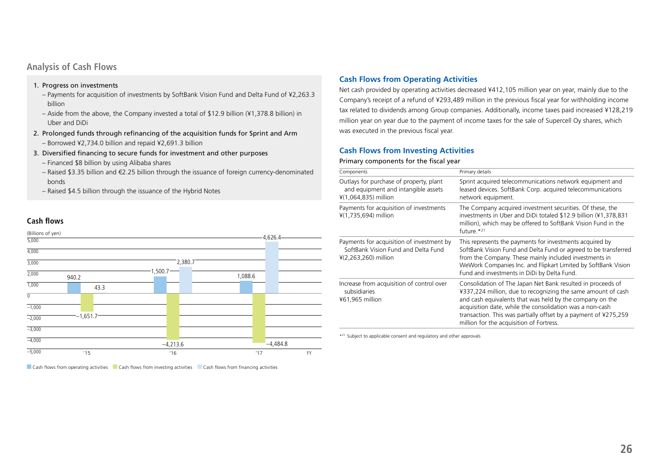# **Analysis of Cash Flows**

### 1. Progress on investments

- Payments for acquisition of investments by SoftBank Vision Fund and Delta Fund of ¥2,263.3 billion
- Aside from the above, the Company invested a total of \$12.9 billion (¥1,378.8 billion) in Uber and DiDi
- 2. Prolonged funds through refinancing of the acquisition funds for Sprint and Arm – Borrowed ¥2,734.0 billion and repaid ¥2,691.3 billion
- 3. Diversified financing to secure funds for investment and other purposes
	- Financed \$8 billion by using Alibaba shares
	- Raised \$3.35 billion and €2.25 billion through the issuance of foreign currency-denominated bonds
	- Raised \$4.5 billion through the issuance of the Hybrid Notes

# **Cash flows**



Cash flows from operating activities Cash flows from investing activities Cash flows from financing activities

# **Cash Flows from Operating Activities**

Net cash provided by operating activities decreased ¥412,105 million year on year, mainly due to the Company's receipt of a refund of ¥293,489 million in the previous fiscal year for withholding income tax related to dividends among Group companies. Additionally, income taxes paid increased ¥128,219 million year on year due to the payment of income taxes for the sale of Supercell Oy shares, which was executed in the previous fiscal year.

# **Cash Flows from Investing Activities**

#### Primary components for the fiscal year

| Components                                                                                                 | Primary details                                                                                                                                                                                                                                                                                                                                                    |
|------------------------------------------------------------------------------------------------------------|--------------------------------------------------------------------------------------------------------------------------------------------------------------------------------------------------------------------------------------------------------------------------------------------------------------------------------------------------------------------|
| Outlays for purchase of property, plant<br>and equipment and intangible assets<br>¥(1,064,835) million     | Sprint acquired telecommunications network equipment and<br>leased devices. SoftBank Corp. acquired telecommunications<br>network equipment.                                                                                                                                                                                                                       |
| Payments for acquisition of investments<br>¥(1,735,694) million                                            | The Company acquired investment securities. Of these, the<br>investments in Uber and DiDi totaled \$12.9 billion (¥1,378,831)<br>million), which may be offered to SoftBank Vision Fund in the<br>future. $*^{21}$                                                                                                                                                 |
| Payments for acquisition of investment by<br>SoftBank Vision Fund and Delta Fund<br>$4(2,263,260)$ million | This represents the payments for investments acquired by<br>SoftBank Vision Fund and Delta Fund or agreed to be transferred<br>from the Company. These mainly included investments in<br>WeWork Companies Inc. and Flipkart Limited by SoftBank Vision<br>Fund and investments in DiDi by Delta Fund.                                                              |
| Increase from acquisition of control over<br>subsidiaries<br>¥61,965 million                               | Consolidation of The Japan Net Bank resulted in proceeds of<br>¥337,224 million, due to recognizing the same amount of cash<br>and cash equivalents that was held by the company on the<br>acquisition date, while the consolidation was a non-cash<br>transaction. This was partially offset by a payment of ¥275,259<br>million for the acquisition of Fortress. |

\*21 Subject to applicable consent and regulatory and other approvals